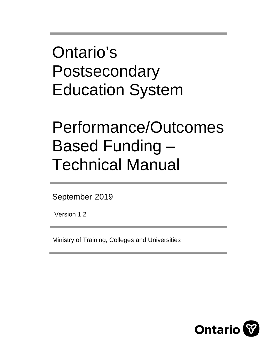Ontario's Postsecondary Education System

# Performance/Outcomes Based Funding – Technical Manual

September 2019

Version 1.2

Ministry of Training, Colleges and Universities

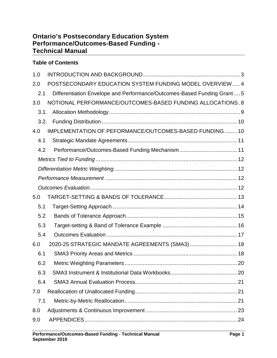# **Ontario's Postsecondary Education System Performance/Outcomes-Based Funding - Technical Manual**

## **Table of Contents**

| 1.0  |                                                                          |
|------|--------------------------------------------------------------------------|
| 2.0  | POSTSECONDARY EDUCATION SYSTEM FUNDING MODEL OVERVIEW  4                 |
| 2.1  | Differentiation Envelope and Performance/Outcomes-Based Funding Grant  5 |
| 3.0  | NOTIONAL PERFORMANCE/OUTCOMES-BASED FUNDING ALLOCATIONS.8                |
| 3.1. |                                                                          |
| 3.2. |                                                                          |
| 4.0  | IMPLEMENTATION OF PEFORMANCE/OUTCOMES-BASED FUNDING  10                  |
| 4.1  |                                                                          |
| 4.2  |                                                                          |
|      |                                                                          |
|      |                                                                          |
|      |                                                                          |
|      |                                                                          |
| 5.0  |                                                                          |
| 5.1  |                                                                          |
| 5.2  |                                                                          |
| 5.3  |                                                                          |
| 5.4  |                                                                          |
| 6.0  | 2020-25 STRATEGIC MANDATE AGREEMENTS (SMA3)  18                          |
| 6.1  |                                                                          |
| 6.2  |                                                                          |
| 6.3  |                                                                          |
| 6.4  |                                                                          |
| 7.0  |                                                                          |
| 7.1  |                                                                          |
| 8.0  |                                                                          |
| 9.0  |                                                                          |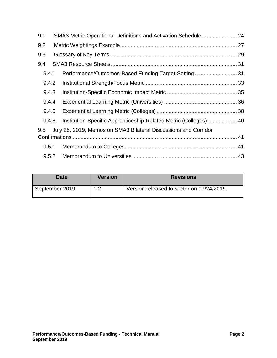| 9.1    | SMA3 Metric Operational Definitions and Activation Schedule  24   |  |  |  |  |  |  |
|--------|-------------------------------------------------------------------|--|--|--|--|--|--|
| 9.2    |                                                                   |  |  |  |  |  |  |
| 9.3    |                                                                   |  |  |  |  |  |  |
| 9.4    |                                                                   |  |  |  |  |  |  |
| 9.4.1  | Performance/Outcomes-Based Funding Target-Setting31               |  |  |  |  |  |  |
| 9.4.2  |                                                                   |  |  |  |  |  |  |
| 9.4.3  |                                                                   |  |  |  |  |  |  |
| 9.4.4  |                                                                   |  |  |  |  |  |  |
| 9.4.5  |                                                                   |  |  |  |  |  |  |
| 9.4.6. | Institution-Specific Apprenticeship-Related Metric (Colleges)  40 |  |  |  |  |  |  |
| 9.5    | July 25, 2019, Memos on SMA3 Bilateral Discussions and Corridor   |  |  |  |  |  |  |
|        |                                                                   |  |  |  |  |  |  |
| 9.5.1  |                                                                   |  |  |  |  |  |  |
|        |                                                                   |  |  |  |  |  |  |

| <b>Date</b>    | <b>Version</b> | <b>Revisions</b>                          |
|----------------|----------------|-------------------------------------------|
| September 2019 | $\sim$         | Version released to sector on 09/24/2019. |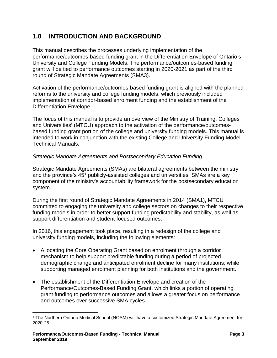# <span id="page-3-0"></span>**1.0 INTRODUCTION AND BACKGROUND**

This manual describes the processes underlying implementation of the performance/outcomes-based funding grant in the Differentiation Envelope of Ontario's University and College Funding Models. The performance/outcomes-based funding grant will be tied to performance outcomes starting in 2020-2021 as part of the third round of Strategic Mandate Agreements (SMA3).

Activation of the performance/outcomes-based funding grant is aligned with the planned reforms to the university and college funding models, which previously included implementation of corridor-based enrolment funding and the establishment of the Differentiation Envelope.

The focus of this manual is to provide an overview of the Ministry of Training, Colleges and Universities' (MTCU) approach to the activation of the performance/outcomesbased funding grant portion of the college and university funding models. This manual is intended to work in conjunction with the existing College and University Funding Model Technical Manuals.

## *Strategic Mandate Agreements and Postsecondary Education Funding*

Strategic Mandate Agreements (SMAs) are bilateral agreements between the ministry and the province's  $45<sup>1</sup>$  $45<sup>1</sup>$  $45<sup>1</sup>$  publicly-assisted colleges and universities. SMAs are a key component of the ministry's accountability framework for the postsecondary education system.

During the first round of Strategic Mandate Agreements in 2014 (SMA1), MTCU committed to engaging the university and college sectors on changes to their respective funding models in order to better support funding predictability and stability, as well as support differentiation and student-focused outcomes.

In 2016, this engagement took place, resulting in a redesign of the college and university funding models, including the following elements:

- Allocating the Core Operating Grant based on enrolment through a corridor mechanism to help support predictable funding during a period of projected demographic change and anticipated enrolment decline for many institutions; while supporting managed enrolment planning for both institutions and the government.
- The establishment of the Differentiation Envelope and creation of the Performance/Outcomes-Based Funding Grant, which links a portion of operating grant funding to performance outcomes and allows a greater focus on performance and outcomes over successive SMA cycles.

<span id="page-3-1"></span> <sup>1</sup> The Northern Ontario Medical School (NOSM) will have a customized Strategic Mandate Agreement for 2020-25.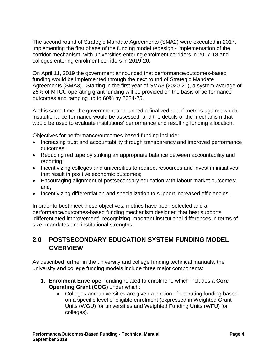The second round of Strategic Mandate Agreements (SMA2) were executed in 2017, implementing the first phase of the funding model redesign - implementation of the corridor mechanism, with universities entering enrolment corridors in 2017-18 and colleges entering enrolment corridors in 2019-20.

On April 11, 2019 the government announced that performance/outcomes-based funding would be implemented through the next round of Strategic Mandate Agreements (SMA3). Starting in the first year of SMA3 (2020-21), a system-average of 25% of MTCU operating grant funding will be provided on the basis of performance outcomes and ramping up to 60% by 2024-25.

At this same time, the government announced a finalized set of metrics against which institutional performance would be assessed, and the details of the mechanism that would be used to evaluate institutions' performance and resulting funding allocation.

Objectives for performance/outcomes-based funding include:

- Increasing trust and accountability through transparency and improved performance outcomes;
- Reducing red tape by striking an appropriate balance between accountability and reporting;
- Incentivizing colleges and universities to redirect resources and invest in initiatives that result in positive economic outcomes;
- Encouraging alignment of postsecondary education with labour market outcomes; and,
- Incentivizing differentiation and specialization to support increased efficiencies.

In order to best meet these objectives, metrics have been selected and a performance/outcomes-based funding mechanism designed that best supports 'differentiated improvement', recognizing important institutional differences in terms of size, mandates and institutional strengths.

# <span id="page-4-0"></span>**2.0 POSTSECONDARY EDUCATION SYSTEM FUNDING MODEL OVERVIEW**

As described further in the university and college funding technical manuals, the university and college funding models include three major components:

- 1. **Enrolment Envelope**: funding related to enrolment, which includes a **Core Operating Grant (COG)** under which:
	- Colleges and universities are given a portion of operating funding based on a specific level of eligible enrolment (expressed in Weighted Grant Units (WGU) for universities and Weighted Funding Units (WFU) for colleges).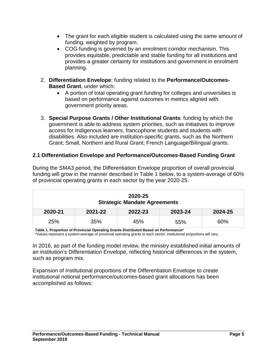- The grant for each eligible student is calculated using the same amount of funding, weighted by program.
- COG funding is governed by an enrolment corridor mechanism. This provides equitable, predictable and stable funding for all institutions and provides a greater certainty for institutions and government in enrolment planning.
- 2. **Differentiation Envelope**: funding related to the **Performance/Outcomes-Based Grant**, under which:
	- A portion of total operating grant funding for colleges and universities is based on performance against outcomes in metrics aligned with government priority areas.
- 3. **Special Purpose Grants / Other Institutional Grants**: funding by which the government is able to address system priorities, such as initiatives to improve access for Indigenous learners, francophone students and students with disabilities. Also included are institution-specific grants, such as the Northern Grant; Small, Northern and Rural Grant; French Language/Bilingual grants.

## <span id="page-5-0"></span>**2.1 Differentiation Envelope and Performance/Outcomes-Based Funding Grant**

During the SMA3 period, the Differentiation Envelope proportion of overall provincial funding will grow in the manner described in Table 1 below, to a system-average of 60% of provincial operating grants in each sector by the year 2020-25.

| 2020-25<br><b>Strategic Mandate Agreements</b> |                                          |     |     |     |  |  |  |  |
|------------------------------------------------|------------------------------------------|-----|-----|-----|--|--|--|--|
| 2020-21                                        | 2021-22<br>2022-23<br>2023-24<br>2024-25 |     |     |     |  |  |  |  |
| 25%                                            | 35%                                      | 45% | 55% | 60% |  |  |  |  |

**Table 1. Proportion of Provincial Operating Grants Distributed Based on Performance\***

\*Values represent a system-average of provincial operating grants to each sector; institutional proportions will vary.

In 2016, as part of the funding model review, the ministry established initial amounts of an institution's Differentiation Envelope, reflecting historical differences in the system, such as program mix.

Expansion of institutional proportions of the Differentiation Envelope to create institutional notional performance/outcomes-based grant allocations has been accomplished as follows: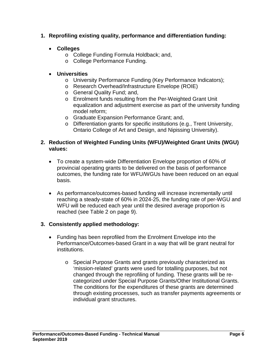## **1. Reprofiling existing quality, performance and differentiation funding:**

- **Colleges**
	- o College Funding Formula Holdback; and,
	- o College Performance Funding.

# • **Universities**

- o University Performance Funding (Key Performance Indicators);
- o Research Overhead/Infrastructure Envelope (ROIE)
- o General Quality Fund; and,
- o Enrolment funds resulting from the Per-Weighted Grant Unit equalization and adjustment exercise as part of the university funding model reform;
- o Graduate Expansion Performance Grant; and,
- o Differentiation grants for specific institutions (e.g., Trent University, Ontario College of Art and Design, and Nipissing University).

## **2. Reduction of Weighted Funding Units (WFU)/Weighted Grant Units (WGU) values:**

- To create a system-wide Differentiation Envelope proportion of 60% of provincial operating grants to be delivered on the basis of performance outcomes, the funding rate for WFU/WGUs have been reduced on an equal basis.
- As performance/outcomes-based funding will increase incrementally until reaching a steady-state of 60% in 2024-25, the funding rate of per-WGU and WFU will be reduced each year until the desired average proportion is reached (see Table 2 on page 9).

## **3. Consistently applied methodology:**

- Funding has been reprofiled from the Enrolment Envelope into the Performance/Outcomes-based Grant in a way that will be grant neutral for institutions.
	- o Special Purpose Grants and grants previously characterized as 'mission-related' grants were used for totalling purposes, but not changed through the reprofiling of funding. These grants will be recategorized under Special Purpose Grants/Other Institutional Grants. The conditions for the expenditures of these grants are determined through existing processes, such as transfer payments agreements or individual grant structures.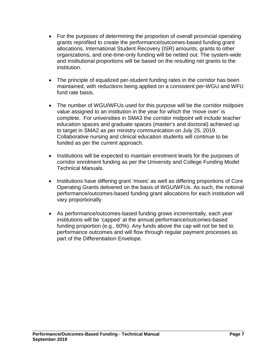- For the purposes of determining the proportion of overall provincial operating grants reprofiled to create the performance/outcomes-based funding grant allocations, International Student Recovery (ISR) amounts, grants to other organizations, and one-time-only funding will be netted out. The system-wide and institutional proportions will be based on the resulting net grants to the institution.
- The principle of equalized per-student funding rates in the corridor has been maintained, with reductions being applied on a consistent per-WGU and WFU fund rate basis.
- The number of WGU/WFUs used for this purpose will be the corridor midpoint value assigned to an institution in the year for which the 'move over' is complete. For universities in SMA3 the corridor midpoint will include teacher education spaces and graduate spaces (master's and doctoral) achieved up to target in SMA2 as per ministry communication on July 25, 2019. Collaborative nursing and clinical education students will continue to be funded as per the current approach.
- Institutions will be expected to maintain enrolment levels for the purposes of corridor enrolment funding as per the University and College Funding Model Technical Manuals.
- Institutions have differing grant 'mixes' as well as differing proportions of Core Operating Grants delivered on the basis of WGU/WFUs. As such, the notional performance/outcomes-based funding grant allocations for each institution will vary proportionally.
- As performance/outcomes-based funding grows incrementally, each year institutions will be 'capped' at the annual performance/outcomes-based funding proportion (e.g., 60%). Any funds above the cap will not be tied to performance outcomes and will flow through regular payment processes as part of the Differentiation Envelope.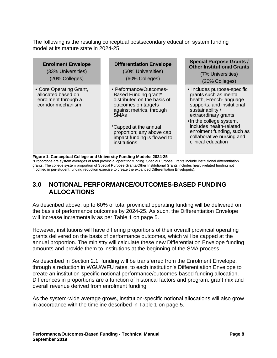The following is the resulting conceptual postsecondary education system funding model at its mature state in 2024-25.

| <b>Enrolment Envelope</b><br>(33% Universities)<br>(20% Colleges)                          | <b>Differentiation Envelope</b><br>(60% Universities)<br>(60% Colleges)                                                                                                                                                                                         | <b>Special Purpose Grants /</b><br><b>Other Institutional Grants</b><br>(7% Universities)<br>(20% Colleges)                                                                                                                                                                                      |
|--------------------------------------------------------------------------------------------|-----------------------------------------------------------------------------------------------------------------------------------------------------------------------------------------------------------------------------------------------------------------|--------------------------------------------------------------------------------------------------------------------------------------------------------------------------------------------------------------------------------------------------------------------------------------------------|
| • Core Operating Grant,<br>allocated based on<br>enrolment through a<br>corridor mechanism | • Peformance/Outcomes-<br>Based Funding grant*<br>distributed on the basis of<br>outcomes on targets<br>against metrics, through<br><b>SMA<sub>s</sub></b><br>*Capped at the annual<br>proportion; any above cap<br>impact funding is flowed to<br>institutions | • Includes purpose-specific<br>grants such as mental<br>health, French-language<br>supports, and insitutional<br>sustainability /<br>extraordinary grants<br>•In the college system,<br>includes health-related<br>enrolment funding, such as<br>collaborative nursing and<br>clinical education |

**Figure 1. Conceptual College and University Funding Models: 2024-25**

\*Proportions are system averages of total provincial operating funding. Special Purpose Grants include institutional differentiation grants. The college system proportion of Special Purpose Grants/Other Institutional Grants includes health-related funding not modified in per-student funding reduction exercise to create the expanded Differentiation Envelope(s).

# <span id="page-8-0"></span>**3.0 NOTIONAL PERFORMANCE/OUTCOMES-BASED FUNDING ALLOCATIONS**

As described above, up to 60% of total provincial operating funding will be delivered on the basis of performance outcomes by 2024-25. As such, the Differentiation Envelope will increase incrementally as per Table 1 on page 5.

However, institutions will have differing proportions of their overall provincial operating grants delivered on the basis of performance outcomes, which will be capped at the annual proportion. The ministry will calculate these new Differentiation Envelope funding amounts and provide them to institutions at the beginning of the SMA process.

As described in Section 2.1, funding will be transferred from the Enrolment Envelope, through a reduction in WGU/WFU rates, to each institution's Differentiation Envelope to create an institution-specific notional performance/outcomes-based funding allocation. Differences in proportions are a function of historical factors and program, grant mix and overall revenue derived from enrolment funding.

As the system-wide average grows, institution-specific notional allocations will also grow in accordance with the timeline described in Table 1 on page 5.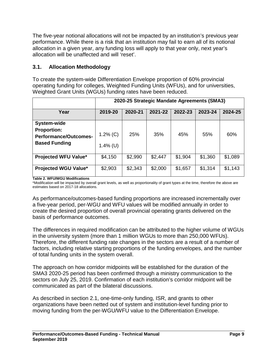The five-year notional allocations will not be impacted by an institution's previous year performance. While there is a risk that an institution may fail to earn all of its notional allocation in a given year, any funding loss will apply to that year only, next year's allocation will be unaffected and will 'reset'.

# <span id="page-9-0"></span>**3.1. Allocation Methodology**

To create the system-wide Differentiation Envelope proportion of 60% provincial operating funding for colleges, Weighted Funding Units (WFUs), and for universities, Weighted Grant Units (WGUs) funding rates have been reduced.

|                                                                                           | 2020-25 Strategic Mandate Agreements (SMA3) |         |         |         |         |         |
|-------------------------------------------------------------------------------------------|---------------------------------------------|---------|---------|---------|---------|---------|
| Year                                                                                      | 2019-20                                     | 2020-21 | 2021-22 | 2022-23 | 2023-24 | 2024-25 |
| System-wide<br><b>Proportion:</b><br><b>Performance/Outcomes-</b><br><b>Based Funding</b> | $1.2\%$ (C)<br>$1.4\%$ (U)                  | 25%     | 35%     | 45%     | 55%     | 60%     |
| <b>Projected WFU Value*</b>                                                               | \$4,150                                     | \$2,990 | \$2,447 | \$1,904 | \$1,360 | \$1,089 |
| <b>Projected WGU Value*</b>                                                               | \$2,903                                     | \$2,343 | \$2,000 | \$1,657 | \$1,314 | \$1,143 |

#### **Table 2. WFU/WGU Modifications**

\*Modification will be impacted by overall grant levels, as well as proportionality of grant types at the time, therefore the above are estimates based on 2017-18 allocations.

As performance/outcomes-based funding proportions are increased incrementally over a five-year period, per-WGU and WFU values will be modified annually in order to create the desired proportion of overall provincial operating grants delivered on the basis of performance outcomes.

The differences in required modification can be attributed to the higher volume of WGUs in the university system (more than 1 million WGUs to more than 250,000 WFUs). Therefore, the different funding rate changes in the sectors are a result of a number of factors, including relative starting proportions of the funding envelopes, and the number of total funding units in the system overall.

The approach on how corridor midpoints will be established for the duration of the SMA3 2020-25 period has been confirmed through a ministry communication to the sectors on July 25, 2019. Confirmation of each institution's corridor midpoint will be communicated as part of the bilateral discussions.

As described in section 2.1, one-time-only funding, ISR, and grants to other organizations have been netted out of system and institution-level funding prior to moving funding from the per-WGU/WFU value to the Differentiation Envelope.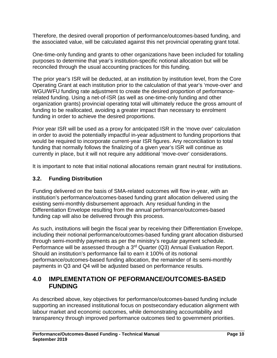Therefore, the desired overall proportion of performance/outcomes-based funding, and the associated value, will be calculated against this net provincial operating grant total.

One-time-only funding and grants to other organizations have been included for totalling purposes to determine that year's institution-specific notional allocation but will be reconciled through the usual accounting practices for this funding.

The prior year's ISR will be deducted, at an institution by institution level, from the Core Operating Grant at each institution prior to the calculation of that year's 'move-over' and WGU/WFU funding rate adjustment to create the desired proportion of performancerelated funding. Using a net-of-ISR (as well as one-time-only funding and other organization grants) provincial operating total will ultimately reduce the gross amount of funding to be reallocated, avoiding a greater impact than necessary to enrolment funding in order to achieve the desired proportions.

Prior year ISR will be used as a proxy for anticipated ISR in the 'move over' calculation in order to avoid the potentially impactful in-year adjustment to funding proportions that would be required to incorporate current-year ISR figures. Any reconciliation to total funding that normally follows the finalizing of a given year's ISR will continue as currently in place, but it will not require any additional 'move-over' considerations.

It is important to note that initial notional allocations remain grant neutral for institutions.

# <span id="page-10-0"></span>**3.2. Funding Distribution**

Funding delivered on the basis of SMA-related outcomes will flow in-year, with an institution's performance/outcomes-based funding grant allocation delivered using the existing semi-monthly disbursement approach. Any residual funding in the Differentiation Envelope resulting from the annual performance/outcomes-based funding cap will also be delivered through this process.

As such, institutions will begin the fiscal year by receiving their Differentiation Envelope, including their notional performance/outcomes-based funding grant allocation disbursed through semi-monthly payments as per the ministry's regular payment schedule. Performance will be assessed through a 3rd Quarter (Q3) Annual Evaluation Report. Should an institution's performance fail to earn it 100% of its notional performance/outcomes-based funding allocation, the remainder of its semi-monthly payments in Q3 and Q4 will be adjusted based on performance results.

# <span id="page-10-1"></span>**4.0 IMPLEMENTATION OF PEFORMANCE/OUTCOMES-BASED FUNDING**

As described above, key objectives for performance/outcomes-based funding include supporting an increased institutional focus on postsecondary education alignment with labour market and economic outcomes, while demonstrating accountability and transparency through improved performance outcomes tied to government priorities.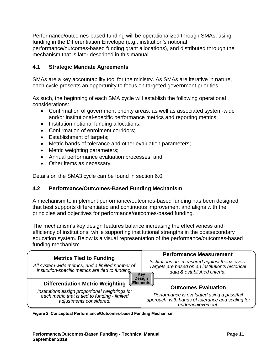Performance/outcomes-based funding will be operationalized through SMAs, using funding in the Differentiation Envelope (e.g., institution's notional performance/outcomes-based funding grant allocations), and distributed through the mechanism that is later described in this manual.

## <span id="page-11-0"></span>**4.1 Strategic Mandate Agreements**

SMAs are a key accountability tool for the ministry. As SMAs are iterative in nature, each cycle presents an opportunity to focus on targeted government priorities.

As such, the beginning of each SMA cycle will establish the following operational considerations:

- Confirmation of government priority areas, as well as associated system-wide and/or institutional-specific performance metrics and reporting metrics;
- Institution notional funding allocations;
- Confirmation of enrolment corridors;
- Establishment of targets:
- Metric bands of tolerance and other evaluation parameters;
- Metric weighting parameters;
- Annual performance evaluation processes; and,
- Other items as necessary.

Details on the SMA3 cycle can be found in section 6.0.

## <span id="page-11-1"></span>**4.2 Performance/Outcomes-Based Funding Mechanism**

A mechanism to implement performance/outcomes-based funding has been designed that best supports differentiated and continuous improvement and aligns with the principles and objectives for performance/outcomes-based funding.

The mechanism's key design features balance increasing the effectiveness and efficiency of institutions, while supporting institutional strengths in the postsecondary education system. Below is a visual representation of the performance/outcomes-based funding mechanism.



**Figure 2. Conceptual Performance/Outcomes-based Funding Mechanism**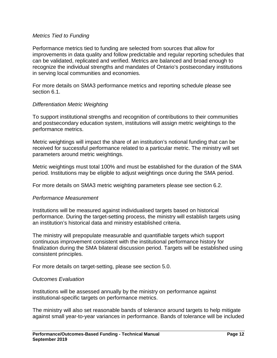### <span id="page-12-0"></span>*Metrics Tied to Funding*

Performance metrics tied to funding are selected from sources that allow for improvements in data quality and follow predictable and regular reporting schedules that can be validated, replicated and verified. Metrics are balanced and broad enough to recognize the individual strengths and mandates of Ontario's postsecondary institutions in serving local communities and economies.

For more details on SMA3 performance metrics and reporting schedule please see section 6.1.

#### <span id="page-12-1"></span>*Differentiation Metric Weighting*

To support institutional strengths and recognition of contributions to their communities and postsecondary education system, institutions will assign metric weightings to the performance metrics.

Metric weightings will impact the share of an institution's notional funding that can be received for successful performance related to a particular metric. The ministry will set parameters around metric weightings.

Metric weightings must total 100% and must be established for the duration of the SMA period. Institutions may be eligible to adjust weightings once during the SMA period.

For more details on SMA3 metric weighting parameters please see section 6.2.

### <span id="page-12-2"></span>*Performance Measurement*

Institutions will be measured against individualised targets based on historical performance. During the target-setting process, the ministry will establish targets using an institution's historical data and ministry established criteria.

The ministry will prepopulate measurable and quantifiable targets which support continuous improvement consistent with the institutional performance history for finalization during the SMA bilateral discussion period. Targets will be established using consistent principles.

For more details on target-setting, please see section 5.0.

#### <span id="page-12-3"></span>*Outcomes Evaluation*

Institutions will be assessed annually by the ministry on performance against institutional-specific targets on performance metrics.

The ministry will also set reasonable bands of tolerance around targets to help mitigate against small year-to-year variances in performance. Bands of tolerance will be included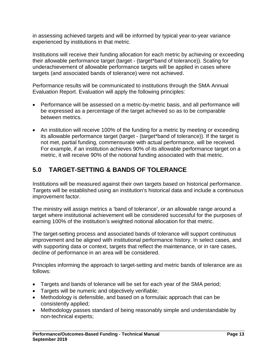in assessing achieved targets and will be informed by typical year-to-year variance experienced by institutions in that metric.

Institutions will receive their funding allocation for each metric by achieving or exceeding their allowable performance target (target - (target\*band of tolerance)). Scaling for underachievement of allowable performance targets will be applied in cases where targets (and associated bands of tolerance) were not achieved.

Performance results will be communicated to institutions through the SMA Annual Evaluation Report. Evaluation will apply the following principles:

- Performance will be assessed on a metric-by-metric basis, and all performance will be expressed as a percentage of the target achieved so as to be comparable between metrics.
- An institution will receive 100% of the funding for a metric by meeting or exceeding its allowable performance target (target - (target\*band of tolerance)). If the target is not met, partial funding, commensurate with actual performance, will be received. For example, if an institution achieves 90% of its allowable performance target on a metric, it will receive 90% of the notional funding associated with that metric.

# <span id="page-13-0"></span>**5.0 TARGET-SETTING & BANDS OF TOLERANCE**

Institutions will be measured against their own targets based on historical performance. Targets will be established using an institution's historical data and include a continuous improvement factor.

The ministry will assign metrics a 'band of tolerance', or an allowable range around a target where institutional achievement will be considered successful for the purposes of earning 100% of the institution's weighted notional allocation for that metric.

The target-setting process and associated bands of tolerance will support continuous improvement and be aligned with institutional performance history. In select cases, and with supporting data or context, targets that reflect the maintenance, or in rare cases, decline of performance in an area will be considered.

Principles informing the approach to target-setting and metric bands of tolerance are as follows:

- Targets and bands of tolerance will be set for each year of the SMA period;
- Targets will be numeric and objectively verifiable;
- Methodology is defensible, and based on a formulaic approach that can be consistently applied;
- Methodology passes standard of being reasonably simple and understandable by non-technical experts;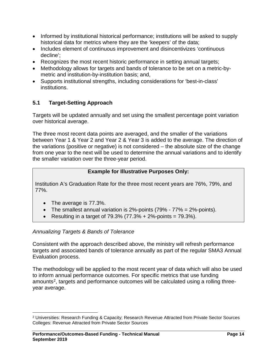- Informed by institutional historical performance; institutions will be asked to supply historical data for metrics where they are the 'keepers' of the data;
- Includes element of continuous improvement and disincentivizes 'continuous decline';
- Recognizes the most recent historic performance in setting annual targets;
- Methodology allows for targets and bands of tolerance to be set on a metric-bymetric and institution-by-institution basis; and,
- Supports institutional strengths, including considerations for 'best-in-class' institutions.

# <span id="page-14-0"></span>**5.1 Target-Setting Approach**

Targets will be updated annually and set using the smallest percentage point variation over historical average.

The three most recent data points are averaged, and the smaller of the variations between Year 1 & Year 2 and Year 2 & Year 3 is added to the average. The direction of the variations (positive or negative) is not considered – the absolute size of the change from one year to the next will be used to determine the annual variations and to identify the smaller variation over the three-year period.

## **Example for Illustrative Purposes Only:**

Institution A's Graduation Rate for the three most recent years are 76%, 79%, and 77%.

- The average is 77.3%.
- The smallest annual variation is  $2\%$ -points  $(79\% 77\% = 2\%$ -points).
- Resulting in a target of  $79.3\%$   $(77.3\% + 2\% \text{-points} = 79.3\%).$

## *Annualizing Targets & Bands of Tolerance*

Consistent with the approach described above, the ministry will refresh performance targets and associated bands of tolerance annually as part of the regular SMA3 Annual Evaluation process.

The methodology will be applied to the most recent year of data which will also be used to inform annual performance outcomes. For specific metrics that use funding amounts<sup>[2](#page-14-1)</sup>, targets and performance outcomes will be calculated using a rolling threeyear average.

<span id="page-14-1"></span> <sup>2</sup> Universities: Research Funding & Capacity; Research Revenue Attracted from Private Sector Sources Colleges: Revenue Attracted from Private Sector Sources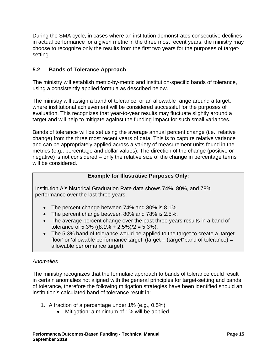During the SMA cycle, in cases where an institution demonstrates consecutive declines in actual performance for a given metric in the three most recent years, the ministry may choose to recognize only the results from the first two years for the purposes of targetsetting.

# <span id="page-15-0"></span>**5.2 Bands of Tolerance Approach**

The ministry will establish metric-by-metric and institution-specific bands of tolerance, using a consistently applied formula as described below.

The ministry will assign a band of tolerance, or an allowable range around a target, where institutional achievement will be considered successful for the purposes of evaluation. This recognizes that year-to-year results may fluctuate slightly around a target and will help to mitigate against the funding impact for such small variances.

Bands of tolerance will be set using the average annual percent change (i.e., relative change) from the three most recent years of data. This is to capture relative variance and can be appropriately applied across a variety of measurement units found in the metrics (e.g., percentage and dollar values). The direction of the change (positive or negative) is not considered – only the relative size of the change in percentage terms will be considered.

## **Example for Illustrative Purposes Only:**

Institution A's historical Graduation Rate data shows 74%, 80%, and 78% performance over the last three years.

- The percent change between 74% and 80% is 8.1%.
- The percent change between 80% and 78% is 2.5%.
- The average percent change over the past three years results in a band of tolerance of 5.3% ((8.1% + 2.5%)/2 = 5.3%).
- The 5.3% band of tolerance would be applied to the target to create a 'target floor' or 'allowable performance target' (target – (target\*band of tolerance) = allowable performance target).

# *Anomalies*

The ministry recognizes that the formulaic approach to bands of tolerance could result in certain anomalies not aligned with the general principles for target-setting and bands of tolerance, therefore the following mitigation strategies have been identified should an institution's calculated band of tolerance result in:

- 1. A fraction of a percentage under 1% (e.g., 0.5%)
	- Mitigation: a minimum of 1% will be applied.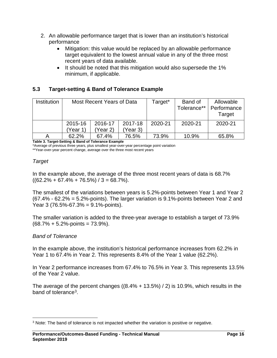- 2. An allowable performance target that is lower than an institution's historical performance
	- Mitigation: this value would be replaced by an allowable performance target equivalent to the lowest annual value in any of the three most recent years of data available.
	- It should be noted that this mitigation would also supersede the 1% minimum, if applicable.

## <span id="page-16-0"></span>**5.3 Target-setting & Band of Tolerance Example**

| Institution |                                  | Most Recent Years of Data |         | Target* | Band of     | Allowable   |
|-------------|----------------------------------|---------------------------|---------|---------|-------------|-------------|
|             |                                  |                           |         |         | Tolerance** | Performance |
|             |                                  |                           |         |         |             | Target      |
|             | 2015-16<br>2016-17               |                           | 2017-18 | 2020-21 | 2020-21     | 2020-21     |
|             | (Year 3)<br>'Year 1)<br>(Year 2) |                           |         |         |             |             |
|             | 62.2%                            | 67.4%                     | 76.5%   | 73.9%   | 10.9%       | 65.8%       |

**Table 3. Target-Setting & Band of Tolerance Example** 

\*Average of previous three years, plus smallest year-over-year percentage point variation

\*\*Year-over-year percent change, average over the three most recent years

## *Target*

In the example above, the average of the three most recent years of data is 68.7%  $((62.2\% + 67.4\% + 76.5\%)/3 = 68.7\%).$ 

The smallest of the variations between years is 5.2%-points between Year 1 and Year 2 (67.4% - 62.2% = 5.2%-points). The larger variation is 9.1%-points between Year 2 and Year 3 (76.5%-67.3% = 9.1%-points).

The smaller variation is added to the three-year average to establish a target of 73.9%  $(68.7\% + 5.2\% -$ points = 73.9%).

## *Band of Tolerance*

In the example above, the institution's historical performance increases from 62.2% in Year 1 to 67.4% in Year 2. This represents 8.4% of the Year 1 value (62.2%).

In Year 2 performance increases from 67.4% to 76.5% in Year 3. This represents 13.5% of the Year 2 value.

The average of the percent changes  $((8.4\% + 13.5\%) / 2)$  is 10.9%, which results in the band of tolerance<sup>3</sup>.

<span id="page-16-1"></span><sup>&</sup>lt;sup>3</sup> Note: The band of tolerance is not impacted whether the variation is positive or negative.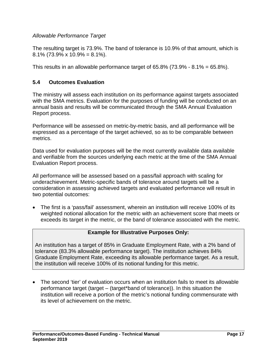## *Allowable Performance Target*

The resulting target is 73.9%. The band of tolerance is 10.9% of that amount, which is 8.1% (73.9% x 10.9% = 8.1%).

This results in an allowable performance target of  $65.8\%$  (73.9% -  $8.1\%$  =  $65.8\%$ ).

## <span id="page-17-0"></span>**5.4 Outcomes Evaluation**

The ministry will assess each institution on its performance against targets associated with the SMA metrics. Evaluation for the purposes of funding will be conducted on an annual basis and results will be communicated through the SMA Annual Evaluation Report process.

Performance will be assessed on metric-by-metric basis, and all performance will be expressed as a percentage of the target achieved, so as to be comparable between metrics.

Data used for evaluation purposes will be the most currently available data available and verifiable from the sources underlying each metric at the time of the SMA Annual Evaluation Report process.

All performance will be assessed based on a pass/fail approach with scaling for underachievement. Metric-specific bands of tolerance around targets will be a consideration in assessing achieved targets and evaluated performance will result in two potential outcomes:

• The first is a 'pass/fail' assessment, wherein an institution will receive 100% of its weighted notional allocation for the metric with an achievement score that meets or exceeds its target in the metric, or the band of tolerance associated with the metric.

## **Example for Illustrative Purposes Only:**

An institution has a target of 85% in Graduate Employment Rate, with a 2% band of tolerance (83.3% allowable performance target). The institution achieves 84% Graduate Employment Rate, exceeding its allowable performance target. As a result, the institution will receive 100% of its notional funding for this metric.

• The second 'tier' of evaluation occurs when an institution fails to meet its allowable performance target (target – (target\*band of tolerance)). In this situation the institution will receive a portion of the metric's notional funding commensurate with its level of achievement on the metric.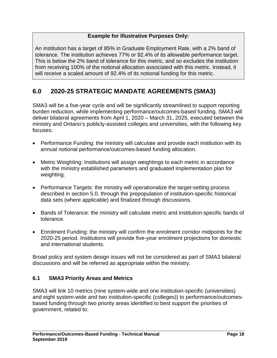## **Example for Illustrative Purposes Only:**

An institution has a target of 85% in Graduate Employment Rate, with a 2% band of tolerance. The institution achieves 77% or 92.4% of its allowable performance target. This is below the 2% band of tolerance for this metric, and so excludes the institution from receiving 100% of the notional allocation associated with this metric. Instead, it will receive a scaled amount of 92.4% of its notional funding for this metric.

# <span id="page-18-0"></span>**6.0 2020-25 STRATEGIC MANDATE AGREEMENTS (SMA3)**

SMA3 will be a five-year cycle and will be significantly streamlined to support reporting burden reduction, while implementing performance/outcomes-based funding. SMA3 will deliver bilateral agreements from April 1, 2020 – March 31, 2025, executed between the ministry and Ontario's publicly-assisted colleges and universities, with the following key focuses:

- Performance Funding: the ministry will calculate and provide each institution with its annual notional performance/outcomes-based funding allocation.
- Metric Weighting: Institutions will assign weightings to each metric in accordance with the ministry established parameters and graduated implementation plan for weighting.
- Performance Targets: the ministry will operationalize the target-setting process described in section 5.0, through the prepopulation of institution-specific historical data sets (where applicable) and finalized through discussions.
- Bands of Tolerance: the ministry will calculate metric and institution-specific bands of tolerance.
- Enrolment Funding: the ministry will confirm the enrolment corridor midpoints for the 2020-25 period. Institutions will provide five-year enrolment projections for domestic and international students.

Broad policy and system design issues will not be considered as part of SMA3 bilateral discussions and will be referred as appropriate within the ministry.

# <span id="page-18-1"></span>**6.1 SMA3 Priority Areas and Metrics**

SMA3 will link 10 metrics (nine system-wide and one institution-specific (universities) and eight system-wide and two institution-specific (colleges)) to performance/outcomesbased funding through two priority areas identified to best support the priorities of government, related to: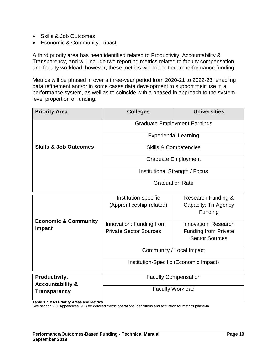- Skills & Job Outcomes
- Economic & Community Impact

A third priority area has been identified related to Productivity, Accountability & Transparency, and will include two reporting metrics related to faculty compensation and faculty workload; however, these metrics will not be tied to performance funding.

Metrics will be phased in over a three-year period from 2020-21 to 2022-23, enabling data refinement and/or in some cases data development to support their use in a performance system, as well as to coincide with a phased-in approach to the systemlevel proportion of funding.

| <b>Priority Area</b>             | <b>Colleges</b>                     | <b>Universities</b> |  |
|----------------------------------|-------------------------------------|---------------------|--|
|                                  | <b>Graduate Employment Earnings</b> |                     |  |
|                                  | <b>Experiential Learning</b>        |                     |  |
| <b>Skills &amp; Job Outcomes</b> | <b>Skills &amp; Competencies</b>    |                     |  |
|                                  | <b>Graduate Employment</b>          |                     |  |
|                                  | Institutional Strength / Focus      |                     |  |
|                                  | <b>Graduation Rate</b>              |                     |  |

|                                                  | Institution-specific<br>(Apprenticeship-related)          | Research Funding &<br>Capacity: Tri-Agency<br>Funding                        |  |
|--------------------------------------------------|-----------------------------------------------------------|------------------------------------------------------------------------------|--|
| <b>Economic &amp; Community</b><br><b>Impact</b> | Innovation: Funding from<br><b>Private Sector Sources</b> | Innovation: Research<br><b>Funding from Private</b><br><b>Sector Sources</b> |  |
|                                                  |                                                           | Community / Local Impact                                                     |  |
|                                                  | Institution-Specific (Economic Impact)                    |                                                                              |  |
| Productivity,<br><b>Accountability &amp;</b>     | <b>Faculty Compensation</b>                               |                                                                              |  |
| <b>Transparency</b>                              | <b>Faculty Workload</b>                                   |                                                                              |  |

**Table 3. SMA3 Priority Areas and Metrics** 

See section 9.0 (Appendices, 9.1) for detailed metric operational definitions and activation for metrics phase-in.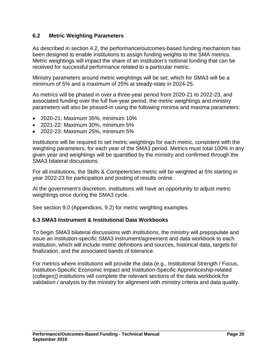## <span id="page-20-0"></span>**6.2 Metric Weighting Parameters**

As described in section 4.2, the performance/outcomes-based funding mechanism has been designed to enable institutions to assign funding weights to the SMA metrics. Metric weightings will impact the share of an institution's notional funding that can be received for successful performance related to a particular metric.

Ministry parameters around metric weightings will be set, which for SMA3 will be a minimum of 5% and a maximum of 25% at steady-state in 2024-25.

As metrics will be phased in over a three-year period from 2020-21 to 2022-23, and associated funding over the full five-year period, the metric weightings and ministry parameters will also be phased-in using the following minima and maxima parameters:

- 2020-21: Maximum 35%, minimum 10%
- 2021-22: Maximum 30%, minimum 5%
- 2022-23: Maximum 25%, minimum 5%

Institutions will be required to set metric weightings for each metric, consistent with the weighting parameters, for each year of the SMA3 period. Metrics must total 100% in any given year and weightings will be quantified by the ministry and confirmed through the SMA3 bilateral discussions.

For all institutions, the Skills & Competencies metric will be weighted at 5% starting in year 2022-23 for participation and posting of results online.

At the government's discretion, institutions will have an opportunity to adjust metric weightings once during the SMA3 cycle.

See section 9.0 (Appendices, 9.2) for metric weighting examples.

## <span id="page-20-1"></span>**6.3 SMA3 Instrument & Institutional Data Workbooks**

To begin SMA3 bilateral discussions with institutions, the ministry will prepopulate and issue an institution-specific SMA3 instrument/agreement and data workbook to each institution, which will include metric definitions and sources, historical data, targets for finalization, and the associated bands of tolerance.

For metrics where institutions will provide the data (e.g., Institutional Strength / Focus, Institution-Specific Economic Impact and Institution-Specific Apprenticeship-related (colleges)) institutions will complete the relevant sections of the data workbook for validation / analysis by the ministry for alignment with ministry criteria and data quality.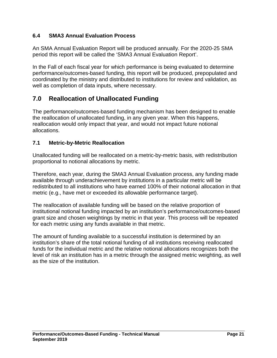## <span id="page-21-0"></span>**6.4 SMA3 Annual Evaluation Process**

An SMA Annual Evaluation Report will be produced annually. For the 2020-25 SMA period this report will be called the 'SMA3 Annual Evaluation Report'.

In the Fall of each fiscal year for which performance is being evaluated to determine performance/outcomes-based funding, this report will be produced, prepopulated and coordinated by the ministry and distributed to institutions for review and validation, as well as completion of data inputs, where necessary.

# <span id="page-21-1"></span>**7.0 Reallocation of Unallocated Funding**

The performance/outcomes-based funding mechanism has been designed to enable the reallocation of unallocated funding, in any given year. When this happens, reallocation would only impact that year, and would not impact future notional allocations.

## <span id="page-21-2"></span>**7.1 Metric-by-Metric Reallocation**

Unallocated funding will be reallocated on a metric-by-metric basis, with redistribution proportional to notional allocations by metric.

Therefore, each year, during the SMA3 Annual Evaluation process, any funding made available through underachievement by institutions in a particular metric will be redistributed to all institutions who have earned 100% of their notional allocation in that metric (e.g., have met or exceeded its allowable performance target).

The reallocation of available funding will be based on the relative proportion of institutional notional funding impacted by an institution's performance/outcomes-based grant size and chosen weightings by metric in that year. This process will be repeated for each metric using any funds available in that metric.

The amount of funding available to a successful institution is determined by an institution's share of the total notional funding of all institutions receiving reallocated funds for the individual metric and the relative notional allocations recognizes both the level of risk an institution has in a metric through the assigned metric weighting, as well as the size of the institution.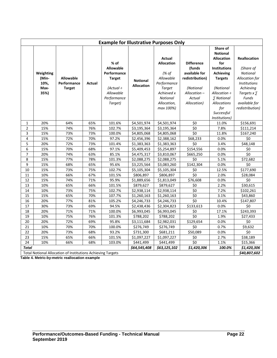|                | <b>Example for Illustrative Purposes Only</b>                                      |                                                  |        |                                                                                                              |                                      |                                                                                                                                                |                                                                                                                      |                                                                                                                                                                                                                             |                                                                                                                                                                     |
|----------------|------------------------------------------------------------------------------------|--------------------------------------------------|--------|--------------------------------------------------------------------------------------------------------------|--------------------------------------|------------------------------------------------------------------------------------------------------------------------------------------------|----------------------------------------------------------------------------------------------------------------------|-----------------------------------------------------------------------------------------------------------------------------------------------------------------------------------------------------------------------------|---------------------------------------------------------------------------------------------------------------------------------------------------------------------|
|                | Weighting<br>(Min-<br>10%,<br>Max-<br>35%)                                         | <b>Allowable</b><br>Performance<br><b>Target</b> | Actual | % of<br><b>Allowable</b><br>Performance<br><b>Target</b><br>(Actual ÷<br>Allowable<br>Performance<br>Target) | <b>Notional</b><br><b>Allocation</b> | <b>Actual</b><br><b>Allocation</b><br>(% of<br>Allowable<br>Performance<br><b>Target</b><br>Achieved x<br>Notional<br>Allocation,<br>max 100%) | <b>Difference</b><br>(funds<br>available for<br>redistribution)<br>(Notional<br>Allocation-<br>Actual<br>Allocation) | Share of<br><b>Notional</b><br><b>Allocation</b><br>for<br><b>Institutions</b><br><b>Achieving</b><br><b>Targets</b><br>(Notional<br>Allocation ÷<br>∑ Notional<br><b>Allocations</b><br>for<br>Successful<br>Institutions) | <b>Reallocation</b><br>(Share of<br>Notional<br>Allocation for<br><b>Institutions</b><br>Achieving<br>Targets $x \sum$<br>Funds<br>available for<br>redistribution) |
| $\mathbf{1}$   | 20%                                                                                | 64%                                              | 65%    | 101.6%                                                                                                       | \$4,501,974                          | \$4,501,974                                                                                                                                    | \$0                                                                                                                  | 11.0%                                                                                                                                                                                                                       | \$156,691                                                                                                                                                           |
| $\overline{2}$ | 15%                                                                                | 74%                                              | 76%    | 102.7%                                                                                                       | \$3,195,364                          | \$3,195,364                                                                                                                                    | \$0                                                                                                                  | 7.8%                                                                                                                                                                                                                        | \$111,214                                                                                                                                                           |
| 3              | 15%                                                                                | 73%                                              | 73%    | 100.0%                                                                                                       | \$4,805,068                          | \$4,805,068                                                                                                                                    | $\overline{\xi_0}$                                                                                                   | 11.8%                                                                                                                                                                                                                       | \$167,240                                                                                                                                                           |
| 4              | 15%                                                                                | 72%                                              | 70%    | 97.2%                                                                                                        | \$2,456,396                          | \$2,388,162                                                                                                                                    | \$68,233                                                                                                             | 0.0%                                                                                                                                                                                                                        | \$0                                                                                                                                                                 |
| 5              | 20%                                                                                | 72%                                              | 73%    | 101.4%                                                                                                       | \$1,383,363                          | \$1,383,363                                                                                                                                    | \$0                                                                                                                  | 3.4%                                                                                                                                                                                                                        | \$48,148                                                                                                                                                            |
| 6              | 15%                                                                                | 70%                                              | 68%    | 97.1%                                                                                                        | \$5,409,453                          | \$5,254,897                                                                                                                                    | \$154,556                                                                                                            | 0.0%                                                                                                                                                                                                                        | \$0                                                                                                                                                                 |
| $\overline{7}$ | 20%                                                                                | 74%                                              | 63%    | 85.1%                                                                                                        | \$4,475,317                          | \$3,810,067                                                                                                                                    | \$665,250                                                                                                            | 0.0%                                                                                                                                                                                                                        | \$0                                                                                                                                                                 |
| 8              | 15%                                                                                | 77%                                              | 78%    | 101.3%                                                                                                       | \$2,088,275                          | \$2,088,275                                                                                                                                    | \$0                                                                                                                  | 5.1%                                                                                                                                                                                                                        | \$72,682                                                                                                                                                            |
| 9              | 15%                                                                                | 68%                                              | 65%    | 95.6%                                                                                                        | \$3,225,564                          | \$3,083,260                                                                                                                                    | \$142,304                                                                                                            | 0.0%                                                                                                                                                                                                                        | \$0                                                                                                                                                                 |
| 10             | 15%                                                                                | 73%                                              | 75%    | 102.7%                                                                                                       | \$5,105,304                          | \$5,105,304                                                                                                                                    | \$0                                                                                                                  | 12.5%                                                                                                                                                                                                                       | \$177,690                                                                                                                                                           |
| 11             | 10%                                                                                | 66%                                              | 67%    | 101.5%                                                                                                       | \$806,897                            | \$806,897                                                                                                                                      | \$0                                                                                                                  | 2.0%                                                                                                                                                                                                                        | \$28,084                                                                                                                                                            |
| 12             | 15%                                                                                | 74%                                              | 71%    | 95.9%                                                                                                        | \$1,889,656                          | \$1,813,049                                                                                                                                    | \$76,608                                                                                                             | 0.0%                                                                                                                                                                                                                        | $\overline{\xi_0}$                                                                                                                                                  |
| 13             | 10%                                                                                | 65%                                              | 66%    | 101.5%                                                                                                       | \$879,627                            | \$879,627                                                                                                                                      | \$0                                                                                                                  | 2.2%                                                                                                                                                                                                                        | \$30,615                                                                                                                                                            |
| 14             | 10%                                                                                | 73%                                              | 75%    | 102.7%                                                                                                       | \$2,938,114                          | \$2,938,114                                                                                                                                    | $\overline{\xi}$                                                                                                     | 7.2%                                                                                                                                                                                                                        | \$102,261                                                                                                                                                           |
| 15             | 15%                                                                                | 65%                                              | 70%    | 107.7%                                                                                                       | \$1,260,163                          | \$1,260,163                                                                                                                                    | $\overline{\xi}$                                                                                                     | 3.1%                                                                                                                                                                                                                        | \$43,860                                                                                                                                                            |
| 16             | 20%                                                                                | 77%                                              | 81%    | 105.2%                                                                                                       | \$4,246,733                          | \$4,246,733                                                                                                                                    | $\overline{\xi}$                                                                                                     | 10.4%                                                                                                                                                                                                                       | \$147,807                                                                                                                                                           |
| 17             | 30%                                                                                | 73%                                              | 69%    | 94.5%                                                                                                        | \$2,438,436                          | \$2,304,823                                                                                                                                    | \$133,613                                                                                                            | 0.0%                                                                                                                                                                                                                        | \$0                                                                                                                                                                 |
| 18             | 20%                                                                                | 71%                                              | 71%    | 100.0%                                                                                                       | \$6,993,045                          | \$6,993,045                                                                                                                                    | \$0                                                                                                                  | 17.1%                                                                                                                                                                                                                       | \$243,393                                                                                                                                                           |
| 19             | 10%                                                                                | 75%                                              | 76%    | 101.3%                                                                                                       | \$788,202                            | \$788,202                                                                                                                                      | $\overline{\overline{50}}$                                                                                           | 1.9%                                                                                                                                                                                                                        | \$27,433                                                                                                                                                            |
| 20             | 20%                                                                                | 72%                                              | 69%    | 95.8%                                                                                                        | \$3,111,684                          | \$2,982,031                                                                                                                                    | \$129,654                                                                                                            | 0.0%                                                                                                                                                                                                                        | \$0                                                                                                                                                                 |
| 21             | 10%                                                                                | 70%                                              | 70%    | 100.0%                                                                                                       | \$276,749                            | \$276,749                                                                                                                                      | \$0                                                                                                                  | 0.7%                                                                                                                                                                                                                        | \$9,632                                                                                                                                                             |
| 22             | 20%                                                                                | 73%                                              | 68%    | 93.2%                                                                                                        | \$731,300                            | \$681,211                                                                                                                                      | \$50,089                                                                                                             | 0.0%                                                                                                                                                                                                                        | \$0                                                                                                                                                                 |
| 23             | 15%                                                                                | 65%                                              | 66%    | 101.5%                                                                                                       | \$1,097,227                          | \$1,097,227                                                                                                                                    | \$0                                                                                                                  | 2.7%                                                                                                                                                                                                                        | \$38,189                                                                                                                                                            |
| 24             | 10%                                                                                | 66%                                              | 68%    | 103.0%                                                                                                       | \$441,499                            | \$441,499                                                                                                                                      | \$0                                                                                                                  | 1.1%                                                                                                                                                                                                                        | \$15,366                                                                                                                                                            |
| <b>Total</b>   |                                                                                    |                                                  |        |                                                                                                              | \$64,545,408                         | \$63,125,102                                                                                                                                   | \$1,420,306                                                                                                          | 100.0%                                                                                                                                                                                                                      | \$1,420,306                                                                                                                                                         |
|                | <b>Total Notional Allocation of Institutions Achieving Targets</b><br>\$40,807,602 |                                                  |        |                                                                                                              |                                      |                                                                                                                                                |                                                                                                                      |                                                                                                                                                                                                                             |                                                                                                                                                                     |

**Table 4. Metric-by-metric reallocation example**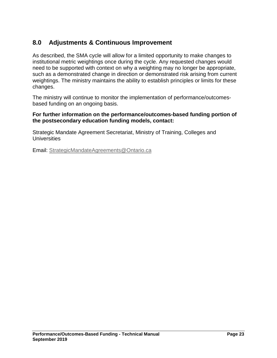# <span id="page-23-0"></span>**8.0 Adjustments & Continuous Improvement**

As described, the SMA cycle will allow for a limited opportunity to make changes to institutional metric weightings once during the cycle. Any requested changes would need to be supported with context on why a weighting may no longer be appropriate, such as a demonstrated change in direction or demonstrated risk arising from current weightings. The ministry maintains the ability to establish principles or limits for these changes.

The ministry will continue to monitor the implementation of performance/outcomesbased funding on an ongoing basis.

### **For further information on the performance/outcomes-based funding portion of the postsecondary education funding models, contact:**

Strategic Mandate Agreement Secretariat, Ministry of Training, Colleges and **Universities** 

Email: StrategicMandateAgreements@Ontario.ca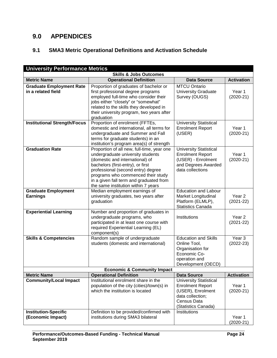# <span id="page-24-0"></span>**9.0 APPENDICES**

# <span id="page-24-1"></span>**9.1 SMA3 Metric Operational Definitions and Activation Schedule**

| <b>University Performance Metrics</b>                 |                                                                                                                                                                                                                                                                                                                       |                                                                                                                                         |                         |  |  |  |  |
|-------------------------------------------------------|-----------------------------------------------------------------------------------------------------------------------------------------------------------------------------------------------------------------------------------------------------------------------------------------------------------------------|-----------------------------------------------------------------------------------------------------------------------------------------|-------------------------|--|--|--|--|
|                                                       | <b>Skills &amp; Jobs Outcomes</b>                                                                                                                                                                                                                                                                                     |                                                                                                                                         |                         |  |  |  |  |
| <b>Metric Name</b>                                    | <b>Operational Definition</b>                                                                                                                                                                                                                                                                                         | <b>Data Source</b>                                                                                                                      | <b>Activation</b>       |  |  |  |  |
| <b>Graduate Employment Rate</b><br>in a related field | Proportion of graduates of bachelor or<br>first professional degree programs<br>employed full-time who consider their<br>jobs either "closely" or "somewhat"<br>related to the skills they developed in<br>their university program, two years after<br>graduation                                                    | <b>MTCU Ontario</b><br><b>University Graduate</b><br>Survey (OUGS)                                                                      | Year 1<br>$(2020-21)$   |  |  |  |  |
| <b>Institutional Strength/Focus</b>                   | Proportion of enrolment (FFTEs,<br>domestic and international, all terms for<br>undergraduate and Summer and Fall<br>terms for graduate students) in an<br>institution's program area(s) of strength                                                                                                                  | <b>University Statistical</b><br><b>Enrolment Report</b><br>(USER)                                                                      | Year 1<br>$(2020-21)$   |  |  |  |  |
| <b>Graduation Rate</b>                                | Proportion of all new, full-time, year one<br>undergraduate university students<br>(domestic and international) of<br>bachelors (first-entry), or first<br>professional (second entry) degree<br>programs who commenced their study<br>in a given fall term and graduated from<br>the same institution within 7 years | <b>University Statistical</b><br><b>Enrolment Report</b><br>(USER) - Enrolment<br>and Degrees Awarded<br>data collections               | Year 1<br>$(2020-21)$   |  |  |  |  |
| <b>Graduate Employment</b><br><b>Earnings</b>         | Median employment earnings of<br>university graduates, two years after<br>graduation                                                                                                                                                                                                                                  | <b>Education and Labour</b><br><b>Market Longitudinal</b><br>Platform (ELMLP),<br><b>Statistics Canada</b>                              | Year 2<br>$(2021-22)$   |  |  |  |  |
| <b>Experiential Learning</b>                          | Number and proportion of graduates in<br>undergraduate programs, who<br>participated in at least one course with<br>required Experiential Learning (EL)<br>component(s)                                                                                                                                               | Institutions                                                                                                                            | Year 2<br>$(2021 - 22)$ |  |  |  |  |
| <b>Skills &amp; Competencies</b>                      | Random sample of undergraduate<br>students (domestic and international)                                                                                                                                                                                                                                               | <b>Education and Skills</b><br>Online Tool,<br>Organisation for<br>Economic Co-<br>operation and<br>Development (OECD)                  | Year 3<br>$(2022-23)$   |  |  |  |  |
|                                                       | <b>Economic &amp; Community Impact</b>                                                                                                                                                                                                                                                                                |                                                                                                                                         |                         |  |  |  |  |
| <b>Metric Name</b>                                    | <b>Operational Definition</b><br>Institutional enrolment share in the                                                                                                                                                                                                                                                 | <b>Data Source</b>                                                                                                                      | <b>Activation</b>       |  |  |  |  |
| <b>Community/Local Impact</b>                         | population of the city (cities)/town(s) in<br>which the institution is located                                                                                                                                                                                                                                        | <b>University Statistical</b><br><b>Enrolment Report</b><br>(USER), Enrolment<br>data collection;<br>Census Data<br>(Statistics Canada) | Year 1<br>$(2020-21)$   |  |  |  |  |
| <b>Institution-Specific</b><br>(Economic Impact)      | Definition to be provided/confirmed with<br>institutions during SMA3 bilateral                                                                                                                                                                                                                                        | Institutions                                                                                                                            | Year 1<br>$(2020-21)$   |  |  |  |  |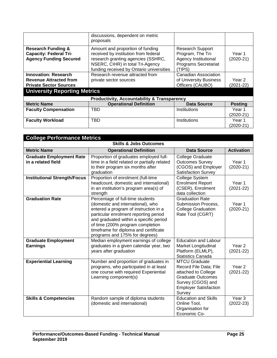|                                                                                                                                      | discussions, dependent on metric<br>proposals                                                                                                                                                  |                                                                                                                      |                         |
|--------------------------------------------------------------------------------------------------------------------------------------|------------------------------------------------------------------------------------------------------------------------------------------------------------------------------------------------|----------------------------------------------------------------------------------------------------------------------|-------------------------|
| <b>Research Funding &amp;</b><br><b>Capacity: Federal Tri-</b><br><b>Agency Funding Secured</b>                                      | Amount and proportion of funding<br>received by institution from federal<br>research granting agencies (SSHRC,<br>NSERC, CIHR) in total Tri-Agency<br>funding received by Ontario universities | <b>Research Support</b><br>Program, The Tri-<br><b>Agency Institutional</b><br><b>Programs Secretariat</b><br>(TIPS) | Year 1<br>$(2020-21)$   |
| <b>Innovation: Research</b><br><b>Revenue Attracted from</b><br><b>Private Sector Sources</b><br><b>University Reporting Metrics</b> | Research revenue attracted from<br>private sector sources                                                                                                                                      | Canadian Association<br>of University Business<br>Officers (CAUBO)                                                   | Year 2<br>$(2021 - 22)$ |
|                                                                                                                                      | <b>Productivity, Accountability &amp; Transparency</b>                                                                                                                                         |                                                                                                                      |                         |
| <b>Metric Name</b>                                                                                                                   | <b>Operational Definition</b>                                                                                                                                                                  | Data Source                                                                                                          | <b>Posting</b>          |
| <b>Faculty Compensation</b>                                                                                                          | TBD                                                                                                                                                                                            | Institutions                                                                                                         | Year 1<br>$(2020-21)$   |
| <b>Faculty Workload</b>                                                                                                              | TBD                                                                                                                                                                                            | Institutions                                                                                                         | Year 1<br>$(2020-21)$   |

| <b>College Performance Metrics</b>                    |                                                                                                                                                                                                                                                                                                                  |                                                                                                                                                                  |                                    |  |  |  |
|-------------------------------------------------------|------------------------------------------------------------------------------------------------------------------------------------------------------------------------------------------------------------------------------------------------------------------------------------------------------------------|------------------------------------------------------------------------------------------------------------------------------------------------------------------|------------------------------------|--|--|--|
| <b>Skills &amp; Jobs Outcomes</b>                     |                                                                                                                                                                                                                                                                                                                  |                                                                                                                                                                  |                                    |  |  |  |
| <b>Metric Name</b>                                    | <b>Operational Definition</b>                                                                                                                                                                                                                                                                                    | Data Source                                                                                                                                                      | <b>Activation</b>                  |  |  |  |
| <b>Graduate Employment Rate</b><br>in a related field | Proportion of graduates employed full-<br>time in a field related or partially related<br>to their program six months after<br>graduation                                                                                                                                                                        | <b>College Graduate</b><br><b>Outcomes Survey</b><br>(CGOS) and Employer<br><b>Satisfaction Survey</b>                                                           | Year 1<br>$(2020-21)$              |  |  |  |
| <b>Institutional Strength/Focus</b>                   | Proportion of enrolment (full-time<br>headcount, domestic and international)<br>in an institution's program area(s) of<br>strength                                                                                                                                                                               | College System<br><b>Enrolment Report</b><br>(CSER), Enrolment<br>data collection                                                                                | Year 1<br>$(2021 - 22)$            |  |  |  |
| <b>Graduation Rate</b>                                | Percentage of full-time students<br>(domestic and international), who<br>entered a program of instruction in a<br>particular enrolment reporting period<br>and graduated within a specific period<br>of time (200% program completion<br>timeframe for diploma and certificate<br>programs and 175% for degrees) | <b>Graduation Rate</b><br>Submission Process,<br><b>College Graduation</b><br>Rate Tool (CGRT)                                                                   | Year 1<br>$(2020-21)$              |  |  |  |
| <b>Graduate Employment</b><br><b>Earnings</b>         | Median employment earnings of college<br>graduates in a given calendar year, two<br>years after graduation                                                                                                                                                                                                       | <b>Education and Labour</b><br><b>Market Longitudinal</b><br>Platform (ELMLP),<br><b>Statistics Canada</b>                                                       | Year <sub>2</sub><br>$(2021-22)$   |  |  |  |
| <b>Experiential Learning</b>                          | Number and proportion of graduates in<br>programs, who participated in at least<br>one course with required Experiential<br>Learning component(s)                                                                                                                                                                | <b>MTCU Graduate</b><br>Record File Data; File<br>attached to College<br><b>Graduate Outcomes</b><br>Survey (CGOS) and<br><b>Employer Satisfaction</b><br>Survey | Year <sub>2</sub><br>$(2021 - 22)$ |  |  |  |
| <b>Skills &amp; Competencies</b>                      | Random sample of diploma students<br>(domestic and international)                                                                                                                                                                                                                                                | <b>Education and Skills</b><br>Online Tool,<br>Organisation for<br>Economic Co-                                                                                  | Year <sub>3</sub><br>$(2022-23)$   |  |  |  |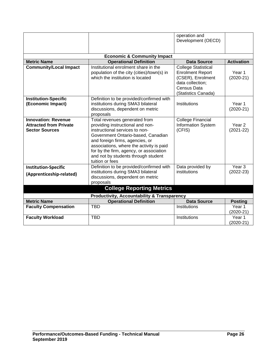|                                                                                      |                                                                                                                                                                                                                                                                                                                               | operation and<br>Development (OECD)                                                                                                  |                                    |
|--------------------------------------------------------------------------------------|-------------------------------------------------------------------------------------------------------------------------------------------------------------------------------------------------------------------------------------------------------------------------------------------------------------------------------|--------------------------------------------------------------------------------------------------------------------------------------|------------------------------------|
|                                                                                      | <b>Economic &amp; Community Impact</b>                                                                                                                                                                                                                                                                                        |                                                                                                                                      |                                    |
| <b>Metric Name</b>                                                                   | <b>Operational Definition</b>                                                                                                                                                                                                                                                                                                 | <b>Data Source</b>                                                                                                                   | <b>Activation</b>                  |
| <b>Community/Local Impact</b>                                                        | Institutional enrolment share in the<br>population of the city (cities)/town(s) in<br>which the institution is located                                                                                                                                                                                                        | <b>College Statistical</b><br><b>Enrolment Report</b><br>(CSER), Enrolment<br>data collection;<br>Census Data<br>(Statistics Canada) | Year 1<br>$(2020-21)$              |
| <b>Institution-Specific</b><br>(Economic Impact)                                     | Definition to be provided/confirmed with<br>institutions during SMA3 bilateral<br>discussions, dependent on metric<br>proposals                                                                                                                                                                                               | Institutions                                                                                                                         | Year 1<br>$(2020-21)$              |
| <b>Innovation: Revenue</b><br><b>Attracted from Private</b><br><b>Sector Sources</b> | Total revenues generated from<br>providing instructional and non-<br>instructional services to non-<br>Government Ontario-based, Canadian<br>and foreign firms, agencies, or<br>associations, where the activity is paid<br>for by the firm, agency, or association<br>and not by students through student<br>tuition or fees | <b>College Financial</b><br>Information System<br>(CFIS)                                                                             | Year <sub>2</sub><br>$(2021 - 22)$ |
| <b>Institution-Specific</b><br>(Apprenticeship-related)                              | Definition to be provided/confirmed with<br>institutions during SMA3 bilateral<br>discussions, dependent on metric<br>proposals                                                                                                                                                                                               | Data provided by<br>institutions                                                                                                     | Year <sub>3</sub><br>$(2022-23)$   |
|                                                                                      | <b>College Reporting Metrics</b>                                                                                                                                                                                                                                                                                              |                                                                                                                                      |                                    |
|                                                                                      | <b>Productivity, Accountability &amp; Transparency</b>                                                                                                                                                                                                                                                                        |                                                                                                                                      |                                    |
| <b>Metric Name</b>                                                                   | <b>Operational Definition</b>                                                                                                                                                                                                                                                                                                 | <b>Data Source</b>                                                                                                                   | <b>Posting</b>                     |
| <b>Faculty Compensation</b>                                                          | <b>TBD</b>                                                                                                                                                                                                                                                                                                                    | Institutions                                                                                                                         | Year 1<br>$(2020-21)$              |
| <b>Faculty Workload</b>                                                              | <b>TBD</b>                                                                                                                                                                                                                                                                                                                    | Institutions                                                                                                                         | Year 1<br>$(2020-21)$              |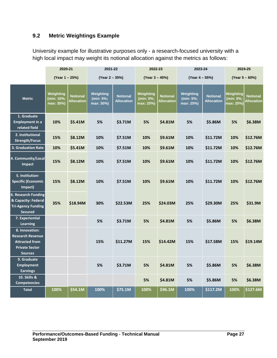# <span id="page-27-0"></span>**9.2 Metric Weightings Example**

University example for illustrative purposes only - a research-focused university with a high local impact may weight its notional allocation against the metrics as follows:

|                                                                                                               | 2020-21                              |                                      | 2021-22                             |                                      | 2022-23                             |                                      | 2023-24                             |                                      |                                         | 2024-25                              |
|---------------------------------------------------------------------------------------------------------------|--------------------------------------|--------------------------------------|-------------------------------------|--------------------------------------|-------------------------------------|--------------------------------------|-------------------------------------|--------------------------------------|-----------------------------------------|--------------------------------------|
|                                                                                                               | (Year 1 – 25%)                       |                                      | (Year 2 – 35%)                      |                                      | (Year 3 - 45%)                      |                                      | (Year 4 – 55%)                      |                                      |                                         | (Year 5 - 60%)                       |
| <b>Metric</b>                                                                                                 | Weighting<br>(min: 10%;<br>max: 35%) | <b>Notional</b><br><b>Allocation</b> | Weighting<br>(min: 5%;<br>max: 30%) | <b>Notional</b><br><b>Allocation</b> | Weighting<br>(min: 5%;<br>max: 25%) | <b>Notional</b><br><b>Allocation</b> | Weighting<br>(min: 5%;<br>max: 25%) | <b>Notional</b><br><b>Allocation</b> | Weighting<br>(min: $5\%$ ;<br>max: 25%) | <b>Notional</b><br><b>Allocation</b> |
| 1. Graduate<br><b>Employment in a</b><br>related field                                                        | 10%                                  | \$5.41M                              | 5%                                  | \$3.71M                              | 5%                                  | \$4.81M                              | 5%                                  | \$5.86M                              | 5%                                      | \$6.38M                              |
| 2. Institutional<br><b>Strength/Focus</b>                                                                     | 15%                                  | \$8.12M                              | 10%                                 | \$7.51M                              | 10%                                 | \$9.61M                              | 10%                                 | \$11.72M                             | 10%                                     | \$12.76M                             |
| 3. Graduation Rate                                                                                            | 10%                                  | \$5.41M                              | 10%                                 | \$7.51M                              | 10%                                 | \$9.61M                              | 10%                                 | \$11.72M                             | 10%                                     | \$12.76M                             |
| 4. Community/Local<br>Impact                                                                                  | 15%                                  | \$8.12M                              | 10%                                 | \$7.51M                              | 10%                                 | \$9.61M                              | 10%                                 | \$11.72M                             | 10%                                     | \$12.76M                             |
| 5. Institution-<br><b>Specific (Economic</b><br>Impact)                                                       | 15%                                  | \$8.12M                              | 10%                                 | \$7.51M                              | 10%                                 | \$9.61M                              | 10%                                 | \$11.72M                             | 10%                                     | \$12.76M                             |
| <b>6. Research Funding</b><br>& Capacity: Federal<br><b>Tri-Agency Funding</b><br><b>Secured</b>              | 35%                                  | \$18.94M                             | 30%                                 | \$22.53M                             | 25%                                 | \$24.03M                             | 25%                                 | \$29.30M                             | 25%                                     | \$31.9M                              |
| 7. Experiential<br>Learning                                                                                   |                                      |                                      | 5%                                  | \$3.71M                              | 5%                                  | \$4.81M                              | 5%                                  | \$5.86M                              | 5%                                      | \$6.38M                              |
| 8. Innovation:<br><b>Research Revenue</b><br><b>Attracted from</b><br><b>Private Sector</b><br><b>Sources</b> |                                      |                                      | 15%                                 | \$11.27M                             | 15%                                 | \$14.42M                             | 15%                                 | \$17.58M                             | 15%                                     | \$19.14M                             |
| 9. Graduate<br><b>Employment</b><br><b>Earnings</b>                                                           |                                      |                                      | 5%                                  | \$3.71M                              | 5%                                  | \$4.81M                              | 5%                                  | \$5.86M                              | 5%                                      | \$6.38M                              |
| 10. Skills &<br><b>Competencies</b>                                                                           |                                      |                                      |                                     |                                      | 5%                                  | \$4.81M                              | 5%                                  | \$5.86M                              | 5%                                      | \$6.38M                              |
| <b>Total</b>                                                                                                  | 100%                                 | \$54.1M                              | 100%                                | \$75.1M                              | 100%                                | \$96.1M                              | 100%                                | \$117.2M                             | 100%                                    | \$127.6M                             |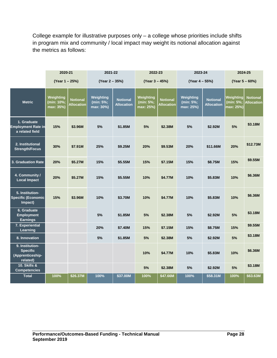College example for illustrative purposes only – a college whose priorities include shifts in program mix and community / local impact may weight its notional allocation against the metrics as follows:

|                                                                    | 2020-21                              |                                      | 2021-22                             |                                      | 2022-23                             |                                      | 2023-24                             |                                      | 2024-25                             |                                      |
|--------------------------------------------------------------------|--------------------------------------|--------------------------------------|-------------------------------------|--------------------------------------|-------------------------------------|--------------------------------------|-------------------------------------|--------------------------------------|-------------------------------------|--------------------------------------|
|                                                                    | (Year 1 - 25%)                       |                                      | (Year 2 - 35%)                      |                                      | (Year 3 - 45%)                      |                                      | (Year 4 - 55%)                      |                                      |                                     | (Year 5 - 60%)                       |
| <b>Metric</b>                                                      | Weighting<br>(min: 10%;<br>max: 35%) | <b>Notional</b><br><b>Allocation</b> | Weighting<br>(min: 5%;<br>max: 30%) | <b>Notional</b><br><b>Allocation</b> | Weighting<br>(min: 5%;<br>max: 25%) | <b>Notional</b><br><b>Allocation</b> | Weighting<br>(min: 5%;<br>max: 25%) | <b>Notional</b><br><b>Allocation</b> | Weighting<br>(min: 5%;<br>max: 25%) | <b>Notional</b><br><b>Allocation</b> |
| 1. Graduate<br><b>Employment Rate in</b><br>a related field        | 15%                                  | \$3.96M                              | 5%                                  | \$1.85M                              | 5%                                  | \$2.38M                              | 5%                                  | \$2.92M                              | 5%                                  | \$3.18M                              |
| 2. Institutional<br><b>Strength/Focus</b>                          | 30%                                  | \$7.91M                              | 25%                                 | \$9.25M                              | 20%                                 | \$9.53M                              | 20%                                 | \$11.66M                             | 20%                                 | \$12.73M                             |
| 3. Graduation Rate                                                 | 20%                                  | \$5.27M                              | 15%                                 | \$5.55M                              | 15%                                 | \$7.15M                              | 15%                                 | \$8.75M                              | 15%                                 | \$9.55M                              |
| 4. Community /<br><b>Local Impact</b>                              | 20%                                  | \$5.27M                              | 15%                                 | \$5.55M                              | 10%                                 | \$4.77M                              | 10%                                 | \$5.83M                              | 10%                                 | \$6.36M                              |
| 5. Institution-<br><b>Specific (Economic</b><br>Impact)            | 15%                                  | \$3.96M                              | 10%                                 | \$3.70M                              | 10%                                 | \$4.77M                              | 10%                                 | \$5.83M                              | 10%                                 | \$6.36M                              |
| 6. Graduate<br><b>Employment</b><br><b>Earnings</b>                |                                      |                                      | 5%                                  | \$1.85M                              | 5%                                  | \$2.38M                              | 5%                                  | \$2.92M                              | 5%                                  | \$3.18M                              |
| 7. Experiential<br>Learning                                        |                                      |                                      | 20%                                 | \$7,40M                              | 15%                                 | \$7.15M                              | 15%                                 | \$8.75M                              | 15%                                 | \$9.55M                              |
| 8. Innovation                                                      |                                      |                                      | 5%                                  | \$1.85M                              | 5%                                  | \$2.38M                              | 5%                                  | \$2.92M                              | 5%                                  | \$3.18M                              |
| 9. Institution-<br><b>Specific</b><br>(Apprenticeship-<br>related) |                                      |                                      |                                     |                                      | 10%                                 | \$4.77M                              | 10%                                 | \$5.83M                              | 10%                                 | \$6.36M                              |
| 10. Skills &<br><b>Competencies</b>                                |                                      |                                      |                                     |                                      | 5%                                  | \$2.38M                              | 5%                                  | \$2.92M                              | 5%                                  | \$3.18M                              |
| <b>Total</b>                                                       | 100%                                 | \$26.37M                             | 100%                                | \$37.00M                             | 100%                                | \$47.66M                             | 100%                                | \$58.31M                             | 100%                                | \$63.63M                             |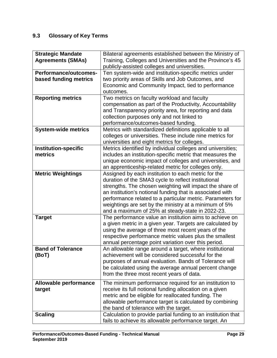# <span id="page-29-0"></span>**9.3 Glossary of Key Terms**

| <b>Strategic Mandate</b><br><b>Agreements (SMAs)</b> | Bilateral agreements established between the Ministry of<br>Training, Colleges and Universities and the Province's 45 |
|------------------------------------------------------|-----------------------------------------------------------------------------------------------------------------------|
|                                                      | publicly-assisted colleges and universities.                                                                          |
| <b>Performance/outcomes-</b>                         | Ten system-wide and institution-specific metrics under                                                                |
| based funding metrics                                | two priority areas of Skills and Job Outcomes, and                                                                    |
|                                                      | Economic and Community Impact, tied to performance                                                                    |
|                                                      | outcomes.                                                                                                             |
| <b>Reporting metrics</b>                             | Two metrics on faculty workload and faculty                                                                           |
|                                                      | compensation as part of the Productivity, Accountability                                                              |
|                                                      | and Transparency priority area, for reporting and data                                                                |
|                                                      | collection purposes only and not linked to                                                                            |
|                                                      | performance/outcomes-based funding.<br>Metrics with standardized definitions applicable to all                        |
| <b>System-wide metrics</b>                           | colleges or universities. These include nine metrics for                                                              |
|                                                      | universities and eight metrics for colleges.                                                                          |
| <b>Institution-specific</b>                          | Metrics identified by individual colleges and universities;                                                           |
| metrics                                              | includes an institution-specific metric that measures the                                                             |
|                                                      | unique economic impact of colleges and universities, and                                                              |
|                                                      | an apprenticeship-related metric for colleges only.                                                                   |
| <b>Metric Weightings</b>                             | Assigned by each institution to each metric for the                                                                   |
|                                                      | duration of the SMA3 cycle to reflect institutional                                                                   |
|                                                      | strengths. The chosen weighting will impact the share of                                                              |
|                                                      | an institution's notional funding that is associated with                                                             |
|                                                      | performance related to a particular metric. Parameters for                                                            |
|                                                      | weightings are set by the ministry at a minimum of 5%                                                                 |
|                                                      | and a maximum of 25% at steady-state in 2022-23.                                                                      |
| <b>Target</b>                                        | The performance value an institution aims to achieve on                                                               |
|                                                      | a given metric in a given year. Targets are calculated by                                                             |
|                                                      | using the average of three most recent years of the<br>respective performance metric values plus the smallest         |
|                                                      | annual percentage point variation over this period.                                                                   |
| <b>Band of Tolerance</b>                             | An allowable range around a target, where institutional                                                               |
| (BoT)                                                | achievement will be considered successful for the                                                                     |
|                                                      | purposes of annual evaluation. Bands of Tolerance will                                                                |
|                                                      | be calculated using the average annual percent change                                                                 |
|                                                      | from the three most recent years of data.                                                                             |
| <b>Allowable performance</b>                         | The minimum performance required for an institution to                                                                |
| target                                               | receive its full notional funding allocation on a given                                                               |
|                                                      | metric and be eligible for reallocated funding. The                                                                   |
|                                                      | allowable performance target is calculated by combining                                                               |
|                                                      | the band of tolerance with the target.                                                                                |
| <b>Scaling</b>                                       | Calculation to provide partial funding to an institution that                                                         |
|                                                      | fails to achieve its allowable performance target. An                                                                 |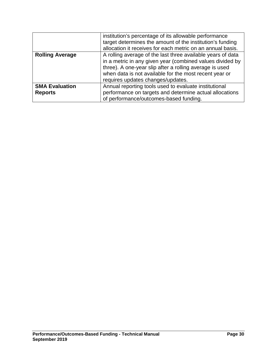|                        | institution's percentage of its allowable performance       |  |  |  |  |
|------------------------|-------------------------------------------------------------|--|--|--|--|
|                        | target determines the amount of the institution's funding   |  |  |  |  |
|                        | allocation it receives for each metric on an annual basis.  |  |  |  |  |
| <b>Rolling Average</b> | A rolling average of the last three available years of data |  |  |  |  |
|                        | in a metric in any given year (combined values divided by   |  |  |  |  |
|                        | three). A one-year slip after a rolling average is used     |  |  |  |  |
|                        | when data is not available for the most recent year or      |  |  |  |  |
|                        | requires updates changes/updates.                           |  |  |  |  |
| <b>SMA Evaluation</b>  | Annual reporting tools used to evaluate institutional       |  |  |  |  |
| <b>Reports</b>         | performance on targets and determine actual allocations     |  |  |  |  |
|                        | of performance/outcomes-based funding.                      |  |  |  |  |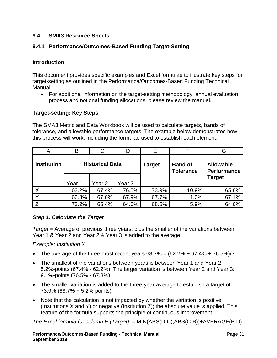## <span id="page-31-0"></span>**9.4 SMA3 Resource Sheets**

## <span id="page-31-1"></span>**9.4.1 Performance/Outcomes-Based Funding Target-Setting**

## **Introduction**

This document provides specific examples and Excel formulae to illustrate key steps for target-setting as outlined in the Performance/Outcomes-Based Funding Technical Manual.

• For additional information on the target-setting methodology, annual evaluation process and notional funding allocations, please review the manual.

## **Target-setting: Key Steps**

The SMA3 Metric and Data Workbook will be used to calculate targets, bands of tolerance, and allowable performance targets. The example below demonstrates how this process will work, including the formulae used to establish each element.

| A                  | B                      |        |        | Е      |                                    | G                                      |
|--------------------|------------------------|--------|--------|--------|------------------------------------|----------------------------------------|
| <b>Institution</b> | <b>Historical Data</b> |        |        | Target | <b>Band of</b><br><b>Tolerance</b> | <b>Allowable</b><br><b>Performance</b> |
|                    | Year 1                 | Year 2 | Year 3 |        |                                    | <b>Target</b>                          |
|                    | 62.2%                  | 67.4%  | 76.5%  | 73.9%  | 10.9%                              | 65.8%                                  |
|                    | 66.8%                  | 67.6%  | 67.9%  | 67.7%  | 1.0%                               | 67.1%                                  |
|                    | 73.2%                  | 65.4%  | 64.6%  | 68.5%  | 5.9%                               | 64.6%                                  |

## *Step 1. Calculate the Target*

*Target* = Average of previous three years, plus the smaller of the variations between Year 1 & Year 2 and Year 2 & Year 3 is added to the average.

*Example: Institution X*

- The average of the three most recent years  $68.7\% = (62.2\% + 67.4\% + 76.5\%)/3$ .
- The smallest of the variations between years is between Year 1 and Year 2: 5.2%-points (67.4% - 62.2%). The larger variation is between Year 2 and Year 3: 9.1%-points (76.5% - 67.3%).
- The smaller variation is added to the three-year average to establish a target of 73.9% (68.7% + 5.2%-points).
- Note that the calculation is not impacted by whether the variation is positive (Institutions X and Y) or negative (Institution Z); the absolute value is applied. This feature of the formula supports the principle of continuous improvement.

*The Excel formula for column E (Target)*: = MIN(ABS(D-C),ABS(C-B))+AVERAGE(B:D)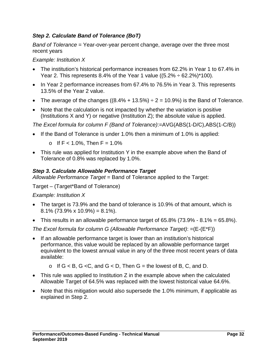# *Step 2. Calculate Band of Tolerance (BoT)*

*Band of Tolerance* = Year-over-year percent change, average over the three most recent years

*Example: Institution X*

- The institution's historical performance increases from 62.2% in Year 1 to 67.4% in Year 2. This represents 8.4% of the Year 1 value  $((5.2\% \div 62.2\%)^*100)$ .
- In Year 2 performance increases from 67.4% to 76.5% in Year 3. This represents 13.5% of the Year 2 value.
- The average of the changes  $((8.4\% + 13.5\%) \div 2 = 10.9\%)$  is the Band of Tolerance.
- Note that the calculation is not impacted by whether the variation is positive (Institutions X and Y) or negative (Institution Z); the absolute value is applied.

*The Excel formula for column F (Band of Tolerance)*:=AVG(ABS(1-D/C),ABS(1-C/B))

If the Band of Tolerance is under 1.0% then a minimum of 1.0% is applied:

o If  $F < 1.0\%$ , Then  $F = 1.0\%$ 

• This rule was applied for Institution Y in the example above when the Band of Tolerance of 0.8% was replaced by 1.0%.

# *Step 3. Calculate Allowable Performance Target*

*Allowable Performance Target* = Band of Tolerance applied to the Target:

Target – (Target\*Band of Tolerance)

*Example: Institution X*

- The target is 73.9% and the band of tolerance is 10.9% of that amount, which is  $8.1\%$  (73.9% x 10.9%) = 8.1%).
- This results in an allowable performance target of  $65.8\%$  (73.9%  $8.1\%$  =  $65.8\%$ ).

*The Excel formula for column G (Allowable Performance Target)*: =(E-(E\*F))

- If an allowable performance target is lower than an institution's historical performance, this value would be replaced by an allowable performance target equivalent to the lowest annual value in any of the three most recent years of data available:
	- o If  $G < B$ ,  $G < C$ , and  $G < D$ , Then  $G =$  the lowest of B, C, and D.
- This rule was applied to Institution Z in the example above when the calculated Allowable Target of 64.5% was replaced with the lowest historical value 64.6%.
- Note that this mitigation would also supersede the 1.0% minimum, if applicable as explained in Step 2.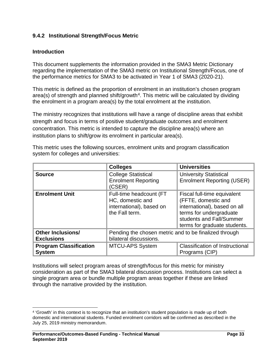## <span id="page-33-0"></span>**9.4.2 Institutional Strength/Focus Metric**

## **Introduction**

This document supplements the information provided in the SMA3 Metric Dictionary regarding the implementation of the SMA3 metric on Institutional Strength/Focus, one of the performance metrics for SMA3 to be activated in Year 1 of SMA3 (2020-21).

This metric is defined as the proportion of enrolment in an institution's chosen program area(s) of strength and planned shift/growth<sup>[4](#page-33-1)</sup>. This metric will be calculated by dividing the enrolment in a program area(s) by the total enrolment at the institution.

The ministry recognizes that institutions will have a range of discipline areas that exhibit strength and focus in terms of positive student/graduate outcomes and enrolment concentration. This metric is intended to capture the discipline area(s) where an institution plans to shift/grow its enrolment in particular area(s).

|                                                | <b>Colleges</b>                                                                           | <b>Universities</b>                                                                                                                                                       |  |
|------------------------------------------------|-------------------------------------------------------------------------------------------|---------------------------------------------------------------------------------------------------------------------------------------------------------------------------|--|
| <b>Source</b>                                  | <b>College Statistical</b><br><b>Enrolment Reporting</b><br>(CSER)                        | <b>University Statistical</b><br><b>Enrolment Reporting (USER)</b>                                                                                                        |  |
| <b>Enrolment Unit</b>                          | Full-time headcount (FT<br>HC, domestic and<br>international), based on<br>the Fall term. | Fiscal full-time equivalent<br>(FFTE, domestic and<br>international), based on all<br>terms for undergraduate<br>students and Fall/Summer<br>terms for graduate students. |  |
| <b>Other Inclusions/</b><br><b>Exclusions</b>  | Pending the chosen metric and to be finalized through<br>bilateral discussions.           |                                                                                                                                                                           |  |
| <b>Program Classification</b><br><b>System</b> | <b>MTCU-APS System</b>                                                                    | <b>Classification of Instructional</b><br>Programs (CIP)                                                                                                                  |  |

This metric uses the following sources, enrolment units and program classification system for colleges and universities:

Institutions will select program areas of strength/focus for this metric for ministry consideration as part of the SMA3 bilateral discussion process. Institutions can select a single program area or bundle multiple program areas together if these are linked through the narrative provided by the institution.

<span id="page-33-1"></span> <sup>4</sup> 'Growth' in this context is to recognize that an institution's student population is made up of both domestic and international students. Funded enrolment corridors will be confirmed as described in the July 25, 2019 ministry memorandum.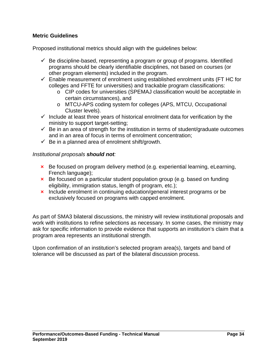## **Metric Guidelines**

Proposed institutional metrics should align with the guidelines below:

- $\checkmark$  Be discipline-based, representing a program or group of programs. Identified programs should be clearly identifiable disciplines, not based on courses (or other program elements) included in the program.
- $\checkmark$  Enable measurement of enrolment using established enrolment units (FT HC for colleges and FFTE for universities) and trackable program classifications:
	- o CIP codes for universities (SPEMAJ classification would be acceptable in certain circumstances), and
	- o MTCU-APS coding system for colleges (APS, MTCU, Occupational Cluster levels).
- $\checkmark$  Include at least three years of historical enrolment data for verification by the ministry to support target-setting;
- $\checkmark$  Be in an area of strength for the institution in terms of student/graduate outcomes and in an area of focus in terms of enrolment concentration;
- $\checkmark$  Be in a planned area of enrolment shift/growth.

### *Institutional proposals should not:*

- **×** Be focused on program delivery method (e.g. experiential learning, eLearning, French language);
- **×** Be focused on a particular student population group (e.g. based on funding eligibility, immigration status, length of program, etc.);
- **×** Include enrolment in continuing education/general interest programs or be exclusively focused on programs with capped enrolment.

As part of SMA3 bilateral discussions, the ministry will review institutional proposals and work with institutions to refine selections as necessary. In some cases, the ministry may ask for specific information to provide evidence that supports an institution's claim that a program area represents an institutional strength.

Upon confirmation of an institution's selected program area(s), targets and band of tolerance will be discussed as part of the bilateral discussion process.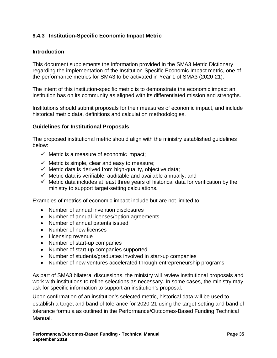## <span id="page-35-0"></span>**9.4.3 Institution-Specific Economic Impact Metric**

## **Introduction**

This document supplements the information provided in the SMA3 Metric Dictionary regarding the implementation of the Institution-Specific Economic Impact metric, one of the performance metrics for SMA3 to be activated in Year 1 of SMA3 (2020-21).

The intent of this institution-specific metric is to demonstrate the economic impact an institution has on its community as aligned with its differentiated mission and strengths.

Institutions should submit proposals for their measures of economic impact, and include historical metric data, definitions and calculation methodologies.

### **Guidelines for Institutional Proposals**

The proposed institutional metric should align with the ministry established guidelines below:

- $\checkmark$  Metric is a measure of economic impact;
- $\checkmark$  Metric is simple, clear and easy to measure;
- $\checkmark$  Metric data is derived from high-quality, objective data;
- $\checkmark$  Metric data is verifiable, auditable and available annually; and
- $\checkmark$  Metric data includes at least three years of historical data for verification by the ministry to support target-setting calculations.

Examples of metrics of economic impact include but are not limited to:

- Number of annual invention disclosures
- Number of annual licenses/option agreements
- Number of annual patents issued
- Number of new licenses
- Licensing revenue
- Number of start-up companies
- Number of start-up companies supported
- Number of students/graduates involved in start-up companies
- Number of new ventures accelerated through entrepreneurship programs

As part of SMA3 bilateral discussions, the ministry will review institutional proposals and work with institutions to refine selections as necessary. In some cases, the ministry may ask for specific information to support an institution's proposal.

Upon confirmation of an institution's selected metric, historical data will be used to establish a target and band of tolerance for 2020-21 using the target-setting and band of tolerance formula as outlined in the Performance/Outcomes-Based Funding Technical Manual.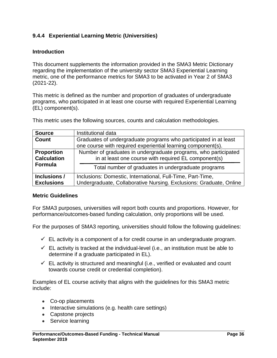# <span id="page-36-0"></span>**9.4.4 Experiential Learning Metric (Universities)**

## **Introduction**

This document supplements the information provided in the SMA3 Metric Dictionary regarding the implementation of the university sector SMA3 Experiential Learning metric, one of the performance metrics for SMA3 to be activated in Year 2 of SMA3 (2021-22).

This metric is defined as the number and proportion of graduates of undergraduate programs, who participated in at least one course with required Experiential Learning (EL) component(s).

This metric uses the following sources, counts and calculation methodologies.

| <b>Source</b>      | Institutional data                                                 |  |  |  |
|--------------------|--------------------------------------------------------------------|--|--|--|
| <b>Count</b>       | Graduates of undergraduate programs who participated in at least   |  |  |  |
|                    | one course with required experiential learning component(s).       |  |  |  |
| <b>Proportion</b>  | Number of graduates in undergraduate programs, who participated    |  |  |  |
| <b>Calculation</b> | in at least one course with required EL component(s)               |  |  |  |
| Formula            | Total number of graduates in undergraduate programs                |  |  |  |
| Inclusions /       | Inclusions: Domestic, International, Full-Time, Part-Time,         |  |  |  |
| <b>Exclusions</b>  | Undergraduate, Collaborative Nursing. Exclusions: Graduate, Online |  |  |  |

### **Metric Guidelines**

For SMA3 purposes, universities will report both counts and proportions. However, for performance/outcomes-based funding calculation, only proportions will be used.

For the purposes of SMA3 reporting, universities should follow the following guidelines:

- $\checkmark$  EL activity is a component of a for credit course in an undergraduate program.
- $\checkmark$  EL activity is tracked at the individual-level (i.e., an institution must be able to determine if a graduate participated in EL).
- $\checkmark$  EL activity is structured and meaningful (i.e., verified or evaluated and count towards course credit or credential completion).

Examples of EL course activity that aligns with the guidelines for this SMA3 metric include:

- Co-op placements
- Interactive simulations (e.g. health care settings)
- Capstone projects
- Service learning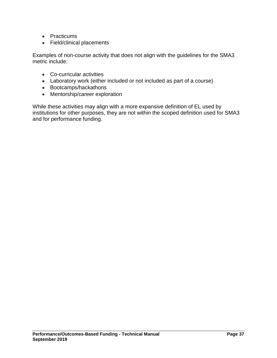- Practicums
- Field/clinical placements

Examples of non-course activity that does not align with the guidelines for the SMA3 metric include:

- Co-curricular activities
- Laboratory work (either included or not included as part of a course)
- Bootcamps/hackathons
- Mentorship/career exploration

While these activities may align with a more expansive definition of EL used by institutions for other purposes, they are not within the scoped definition used for SMA3 and for performance funding.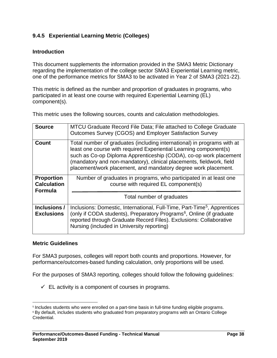# <span id="page-38-0"></span>**9.4.5 Experiential Learning Metric (Colleges)**

## **Introduction**

This document supplements the information provided in the SMA3 Metric Dictionary regarding the implementation of the college sector SMA3 Experiential Learning metric, one of the performance metrics for SMA3 to be activated in Year 2 of SMA3 (2021-22).

This metric is defined as the number and proportion of graduates in programs, who participated in at least one course with required Experiential Learning (EL) component(s).

This metric uses the following sources, counts and calculation methodologies.

| <b>Source</b>                                             | MTCU Graduate Record File Data; File attached to College Graduate<br>Outcomes Survey (CGOS) and Employer Satisfaction Survey                                                                                                                                                                                                                                |
|-----------------------------------------------------------|-------------------------------------------------------------------------------------------------------------------------------------------------------------------------------------------------------------------------------------------------------------------------------------------------------------------------------------------------------------|
| <b>Count</b>                                              | Total number of graduates (including international) in programs with at<br>least one course with required Experiential Learning component(s)<br>such as Co-op Diploma Apprenticeship (CODA), co-op work placement<br>(mandatory and non-mandatory), clinical placements, fieldwork, field<br>placement/work placement, and mandatory degree work placement. |
| <b>Proportion</b><br><b>Calculation</b><br><b>Formula</b> | Number of graduates in programs, who participated in at least one<br>course with required EL component(s)                                                                                                                                                                                                                                                   |
|                                                           | Total number of graduates                                                                                                                                                                                                                                                                                                                                   |
| Inclusions /<br><b>Exclusions</b>                         | Inclusions: Domestic, International, Full-Time, Part-Time <sup>5</sup> , Apprentices<br>(only if CODA students), Preparatory Programs <sup>6</sup> , Online (if graduate<br>reported through Graduate Record Files). Exclusions: Collaborative<br>Nursing (included in University reporting)                                                                |

### **Metric Guidelines**

For SMA3 purposes, colleges will report both counts and proportions. However, for performance/outcomes-based funding calculation, only proportions will be used.

For the purposes of SMA3 reporting, colleges should follow the following guidelines:

 $\checkmark$  EL activity is a component of courses in programs.

<span id="page-38-1"></span> <sup>5</sup> Includes students who were enrolled on a part-time basis in full-time funding eligible programs.

<span id="page-38-2"></span><sup>6</sup> By default, includes students who graduated from preparatory programs with an Ontario College Credential.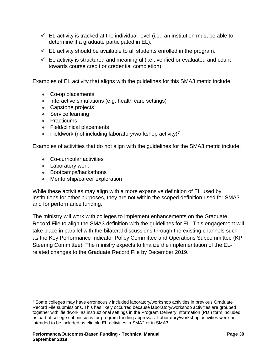- $\checkmark$  EL activity is tracked at the individual-level (i.e., an institution must be able to determine if a graduate participated in EL).
- $\checkmark$  EL activity should be available to all students enrolled in the program.
- $\checkmark$  EL activity is structured and meaningful (i.e., verified or evaluated and count towards course credit or credential completion).

Examples of EL activity that aligns with the guidelines for this SMA3 metric include:

- Co-op placements
- Interactive simulations (e.g. health care settings)
- Capstone projects
- Service learning
- Practicums
- Field/clinical placements
- Fieldwork (not including laboratory/workshop activity)<sup>[7](#page-39-0)</sup>

Examples of activities that do not align with the guidelines for the SMA3 metric include:

- Co-curricular activities
- Laboratory work
- Bootcamps/hackathons
- Mentorship/career exploration

While these activities may align with a more expansive definition of EL used by institutions for other purposes, they are not within the scoped definition used for SMA3 and for performance funding.

The ministry will work with colleges to implement enhancements on the Graduate Record File to align the SMA3 definition with the guidelines for EL. This engagement will take place in parallel with the bilateral discussions through the existing channels such as the Key Performance Indicator Policy Committee and Operations Subcommittee (KPI Steering Committee). The ministry expects to finalize the implementation of the ELrelated changes to the Graduate Record File by December 2019.

<span id="page-39-0"></span> <sup>7</sup> Some colleges may have erroneously included laboratory/workshop activities in previous Graduate Record File submissions. This has likely occurred because laboratory/workshop activities are grouped together with 'fieldwork' as instructional settings in the Program Delivery Information (PDI) form included as part of college submissions for program funding approvals. Laboratory/workshop activities were not intended to be included as eligible EL-activities in SMA2 or in SMA3.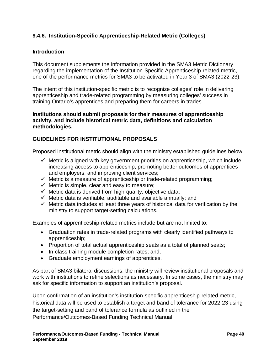## <span id="page-40-0"></span>**9.4.6. Institution-Specific Apprenticeship-Related Metric (Colleges)**

## **Introduction**

This document supplements the information provided in the SMA3 Metric Dictionary regarding the implementation of the Institution-Specific Apprenticeship-related metric, one of the performance metrics for SMA3 to be activated in Year 3 of SMA3 (2022-23).

The intent of this institution-specific metric is to recognize colleges' role in delivering apprenticeship and trade-related programming by measuring colleges' success in training Ontario's apprentices and preparing them for careers in trades.

### **Institutions should submit proposals for their measures of apprenticeship activity, and include historical metric data, definitions and calculation methodologies.**

## **GUIDELINES FOR INSTITUTIONAL PROPOSALS**

Proposed institutional metric should align with the ministry established guidelines below:

- $\checkmark$  Metric is aligned with key government priorities on apprenticeship, which include increasing access to apprenticeship, promoting better outcomes of apprentices and employers, and improving client services;
- $\checkmark$  Metric is a measure of apprenticeship or trade-related programming;
- $\checkmark$  Metric is simple, clear and easy to measure;
- $\checkmark$  Metric data is derived from high-quality, objective data;
- $\checkmark$  Metric data is verifiable, auditable and available annually; and
- $\checkmark$  Metric data includes at least three years of historical data for verification by the ministry to support target-setting calculations.

Examples of apprenticeship-related metrics include but are not limited to:

- Graduation rates in trade-related programs with clearly identified pathways to apprenticeship;
- Proportion of total actual apprenticeship seats as a total of planned seats;
- In-class training module completion rates; and,
- Graduate employment earnings of apprentices.

As part of SMA3 bilateral discussions, the ministry will review institutional proposals and work with institutions to refine selections as necessary. In some cases, the ministry may ask for specific information to support an institution's proposal.

Upon confirmation of an institution's institution-specific apprenticeship-related metric, historical data will be used to establish a target and band of tolerance for 2022-23 using the target-setting and band of tolerance formula as outlined in the Performance/Outcomes-Based Funding Technical Manual.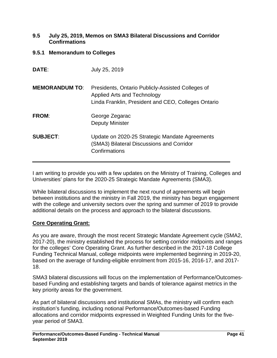### <span id="page-41-0"></span>**9.5 July 25, 2019, Memos on SMA3 Bilateral Discussions and Corridor Confirmations**

<span id="page-41-1"></span>**9.5.1 Memorandum to Colleges**

| <b>DATE:</b>          | July 25, 2019                                                                                                                           |
|-----------------------|-----------------------------------------------------------------------------------------------------------------------------------------|
| <b>MEMORANDUM TO:</b> | Presidents, Ontario Publicly-Assisted Colleges of<br>Applied Arts and Technology<br>Linda Franklin, President and CEO, Colleges Ontario |
| <b>FROM:</b>          | George Zegarac<br><b>Deputy Minister</b>                                                                                                |
| <b>SUBJECT:</b>       | Update on 2020-25 Strategic Mandate Agreements<br>(SMA3) Bilateral Discussions and Corridor<br>Confirmations                            |

I am writing to provide you with a few updates on the Ministry of Training, Colleges and Universities' plans for the 2020-25 Strategic Mandate Agreements (SMA3).

While bilateral discussions to implement the next round of agreements will begin between institutions and the ministry in Fall 2019, the ministry has begun engagement with the college and university sectors over the spring and summer of 2019 to provide additional details on the process and approach to the bilateral discussions.

## **Core Operating Grant:**

As you are aware, through the most recent Strategic Mandate Agreement cycle (SMA2, 2017-20), the ministry established the process for setting corridor midpoints and ranges for the colleges' Core Operating Grant. As further described in the 2017-18 College Funding Technical Manual, college midpoints were implemented beginning in 2019-20, based on the average of funding-eligible enrolment from 2015-16, 2016-17, and 2017- 18.

SMA3 bilateral discussions will focus on the implementation of Performance/Outcomesbased Funding and establishing targets and bands of tolerance against metrics in the key priority areas for the government.

As part of bilateral discussions and institutional SMAs, the ministry will confirm each institution's funding, including notional Performance/Outcomes-based Funding allocations and corridor midpoints expressed in Weighted Funding Units for the fiveyear period of SMA3.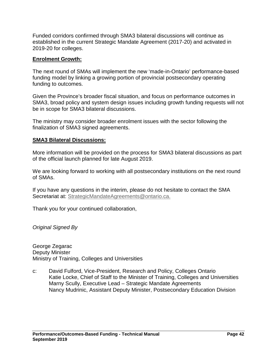Funded corridors confirmed through SMA3 bilateral discussions will continue as established in the current Strategic Mandate Agreement (2017-20) and activated in 2019-20 for colleges.

## **Enrolment Growth:**

The next round of SMAs will implement the new 'made-in-Ontario' performance-based funding model by linking a growing portion of provincial postsecondary operating funding to outcomes.

Given the Province's broader fiscal situation, and focus on performance outcomes in SMA3, broad policy and system design issues including growth funding requests will not be in scope for SMA3 bilateral discussions.

The ministry may consider broader enrolment issues with the sector following the finalization of SMA3 signed agreements.

## **SMA3 Bilateral Discussions:**

More information will be provided on the process for SMA3 bilateral discussions as part of the official launch planned for late August 2019.

We are looking forward to working with all postsecondary institutions on the next round of SMAs.

If you have any questions in the interim, please do not hesitate to contact the SMA Secretariat at: [StrategicMandateAgreements@ontario.ca.](mailto:StrategicMandateAgreements@ontario.ca)

Thank you for your continued collaboration,

*Original Signed By*

George Zegarac Deputy Minister Ministry of Training, Colleges and Universities

c: David Fulford, Vice-President, Research and Policy, Colleges Ontario Katie Locke, Chief of Staff to the Minister of Training, Colleges and Universities Marny Scully, Executive Lead – Strategic Mandate Agreements Nancy Mudrinic, Assistant Deputy Minister, Postsecondary Education Division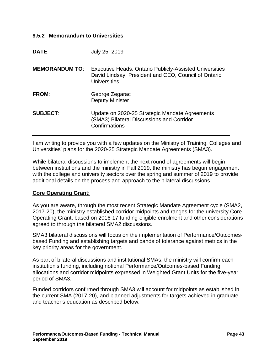## <span id="page-43-0"></span>**9.5.2 Memorandum to Universities**

| DATE:                 | July 25, 2019                                                                                                                          |
|-----------------------|----------------------------------------------------------------------------------------------------------------------------------------|
| <b>MEMORANDUM TO:</b> | Executive Heads, Ontario Publicly-Assisted Universities<br>David Lindsay, President and CEO, Council of Ontario<br><b>Universities</b> |
| <b>FROM:</b>          | George Zegarac<br><b>Deputy Minister</b>                                                                                               |
| <b>SUBJECT:</b>       | Update on 2020-25 Strategic Mandate Agreements<br>(SMA3) Bilateral Discussions and Corridor<br>Confirmations                           |

I am writing to provide you with a few updates on the Ministry of Training, Colleges and Universities' plans for the 2020-25 Strategic Mandate Agreements (SMA3).

While bilateral discussions to implement the next round of agreements will begin between institutions and the ministry in Fall 2019, the ministry has begun engagement with the college and university sectors over the spring and summer of 2019 to provide additional details on the process and approach to the bilateral discussions.

### **Core Operating Grant:**

As you are aware, through the most recent Strategic Mandate Agreement cycle (SMA2, 2017-20), the ministry established corridor midpoints and ranges for the university Core Operating Grant, based on 2016-17 funding-eligible enrolment and other considerations agreed to through the bilateral SMA2 discussions.

SMA3 bilateral discussions will focus on the implementation of Performance/Outcomesbased Funding and establishing targets and bands of tolerance against metrics in the key priority areas for the government.

As part of bilateral discussions and institutional SMAs, the ministry will confirm each institution's funding, including notional Performance/Outcomes-based Funding allocations and corridor midpoints expressed in Weighted Grant Units for the five-year period of SMA3.

Funded corridors confirmed through SMA3 will account for midpoints as established in the current SMA (2017-20), and planned adjustments for targets achieved in graduate and teacher's education as described below.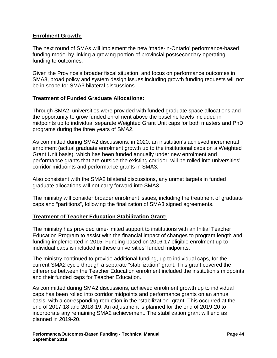## **Enrolment Growth:**

The next round of SMAs will implement the new 'made-in-Ontario' performance-based funding model by linking a growing portion of provincial postsecondary operating funding to outcomes.

Given the Province's broader fiscal situation, and focus on performance outcomes in SMA3, broad policy and system design issues including growth funding requests will not be in scope for SMA3 bilateral discussions.

## **Treatment of Funded Graduate Allocations:**

Through SMA2, universities were provided with funded graduate space allocations and the opportunity to grow funded enrolment above the baseline levels included in midpoints up to individual separate Weighted Grant Unit caps for both masters and PhD programs during the three years of SMA2.

As committed during SMA2 discussions, in 2020, an institution's achieved incremental enrolment (actual graduate enrolment growth up to the institutional caps on a Weighted Grant Unit basis), which has been funded annually under new enrolment and performance grants that are outside the existing corridor, will be rolled into universities' corridor midpoints and performance grants in SMA3.

Also consistent with the SMA2 bilateral discussions, any unmet targets in funded graduate allocations will not carry forward into SMA3.

The ministry will consider broader enrolment issues, including the treatment of graduate caps and "partitions", following the finalization of SMA3 signed agreements.

### **Treatment of Teacher Education Stabilization Grant:**

The ministry has provided time-limited support to institutions with an Initial Teacher Education Program to assist with the financial impact of changes to program length and funding implemented in 2015. Funding based on 2016-17 eligible enrolment up to individual caps is included in these universities' funded midpoints.

The ministry continued to provide additional funding, up to individual caps, for the current SMA2 cycle through a separate "stabilization" grant. This grant covered the difference between the Teacher Education enrolment included the institution's midpoints and their funded caps for Teacher Education.

As committed during SMA2 discussions, achieved enrolment growth up to individual caps has been rolled into corridor midpoints and performance grants on an annual basis, with a corresponding reduction in the "stabilization" grant. This occurred at the end of 2017-18 and 2018-19. An adjustment is planned for the end of 2019-20 to incorporate any remaining SMA2 achievement. The stabilization grant will end as planned in 2019-20.